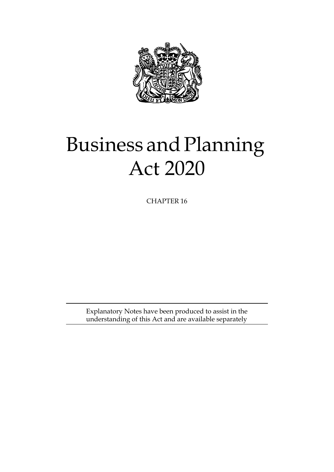

# Business and Planning Act 2020

CHAPTER 16

Explanatory Notes have been produced to assist in the understanding of this Act and are available separately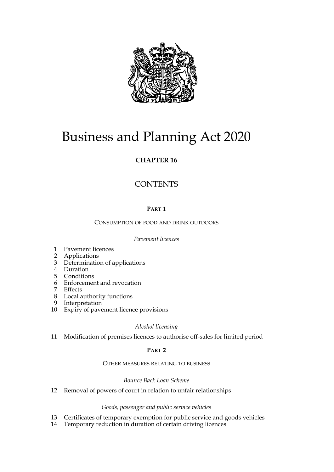

# Business and Planning Act 2020

### **CHAPTER 16**

### **CONTENTS**

#### **PART 1**

CONSUMPTION OF FOOD AND DRINK OUTDOORS

#### *Pavement licences*

- [1 Pavement licences](#page-4-0)
- [2 Applications](#page-5-0)
- [3 Determination of applications](#page-6-0)
- [4 Duration](#page-7-0)
- [5 Conditions](#page-8-0)
- [6 Enforcement and revocation](#page-8-1)
- [7 Effects](#page-9-0)
- [8 Local authority functions](#page-10-0)
- [9 Interpretation](#page-10-1)
- [10 Expiry of pavement licence provisions](#page-11-0)

#### *Alcohol licensing*

[11 Modification of premises licences to authorise off-sales for limited period](#page-12-0)

#### **PART 2**

#### OTHER MEASURES RELATING TO BUSINESS

#### *Bounce Back Loan Scheme*

[12 Removal of powers of court in relation to unfair relationships](#page-25-0)

#### *Goods, passenger and public service vehicles*

- [13 Certificates of temporary exemption for public service and goods vehicles](#page-25-1)
- 14 [Temporary reduction in duration of certain driving licences](#page-26-0)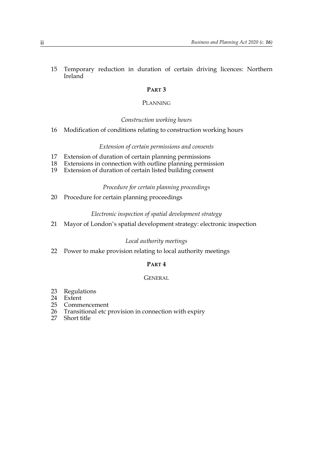[15 Temporary reduction in duration of certain driving licences: Northern](#page-26-1) Ireland

#### **PART 3**

#### PLANNING

*Construction working hours*

[16 Modification of conditions relating to construction working hours](#page-27-0)

#### *Extension of certain permissions and consents*

- [17 Extension of duration of certain planning permissions](#page-31-0)
- [18 Extensions in connection with outline planning permission](#page-35-0)
- [19 Extension of duration of certain listed building consent](#page-40-0)

#### *Procedure for certain planning proceedings*

[20 Procedure for certain planning proceedings](#page-41-0)

#### *Electronic inspection of spatial development strategy*

[21 Mayor of London's spatial development strategy: electronic inspection](#page-42-0)

#### *Local authority meetings*

[22 Power to make provision relating to local authority meetings](#page-42-1)

#### **PART 4**

#### **GENERAL**

- [23 Regulations](#page-43-0)
- [24 Extent](#page-43-1)
- [25 Commencement](#page-44-0)
- [26 Transitional etc provision in connection with expiry](#page-44-1)
- 27 [Short title](#page-44-2)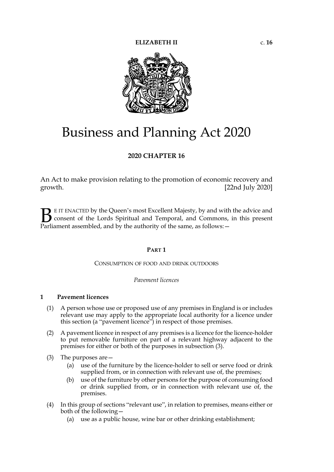

## Business and Planning Act 2020

#### **2020 CHAPTER 16**

An Act to make provision relating to the promotion of economic recovery and growth. [22nd July 2020]

E IT ENACTED by the Queen's most Excellent Majesty, by and with the advice and consent of the Lords Spiritual and Temporal, and Commons, in this present **B** E IT ENACTED by the Queen's most Excellent Majesty, by and with consent of the Lords Spiritual and Temporal, and Commons, Parliament assembled, and by the authority of the same, as follows:  $-$ 

#### **PART 1**

#### CONSUMPTION OF FOOD AND DRINK OUTDOORS

#### *Pavement licences*

#### <span id="page-4-1"></span><span id="page-4-0"></span>**1 Pavement licences**

- <span id="page-4-2"></span>(1) A person whose use or proposed use of any premises in England is or includes relevant use may apply to the appropriate local authority for a licence under this section (a "pavement licence") in respect of those premises.
- (2) A pavement licence in respect of any premises is a licence for the licence-holder to put removable furniture on part of a relevant highway adjacent to the premises for either or both of the purposes in subsection (3).
- <span id="page-4-3"></span>(3) The purposes are—
	- (a) use of the furniture by the licence-holder to sell or serve food or drink supplied from, or in connection with relevant use of, the premises;
	- (b) use of the furniture by other persons for the purpose of consuming food or drink supplied from, or in connection with relevant use of, the premises.
- <span id="page-4-4"></span>(4) In this group of sections "relevant use", in relation to premises, means either or both of the following—
	- (a) use as a public house, wine bar or other drinking establishment;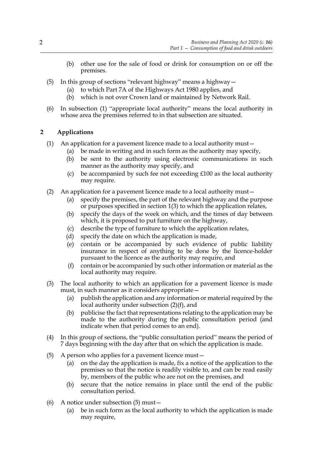- (b) other use for the sale of food or drink for consumption on or off the premises.
- <span id="page-5-6"></span>(5) In this group of sections "relevant highway" means a highway—
	- (a) to which Part 7A of the Highways Act 1980 applies, and
	- (b) which is not over Crown land or maintained by Network Rail.
- (6) In subsection [\(1\)](#page-4-2) "appropriate local authority" means the local authority in whose area the premises referred to in that subsection are situated.

#### <span id="page-5-3"></span><span id="page-5-0"></span>**2 Applications**

- (1) An application for a pavement licence made to a local authority must—
	- (a) be made in writing and in such form as the authority may specify,
	- (b) be sent to the authority using electronic communications in such manner as the authority may specify, and
	- (c) be accompanied by such fee not exceeding £100 as the local authority may require.
- <span id="page-5-4"></span>(2) An application for a pavement licence made to a local authority must—
	- (a) specify the premises, the part of the relevant highway and the purpose or purposes specified in section [1](#page-4-1)[\(3\)](#page-4-3) to which the application relates,
	- (b) specify the days of the week on which, and the times of day between which, it is proposed to put furniture on the highway,
	- (c) describe the type of furniture to which the application relates,
	- (d) specify the date on which the application is made,
	- (e) contain or be accompanied by such evidence of public liability insurance in respect of anything to be done by the licence-holder pursuant to the licence as the authority may require, and
	- (f) contain or be accompanied by such other information or material as the local authority may require.
- <span id="page-5-1"></span>(3) The local authority to which an application for a pavement licence is made must, in such manner as it considers appropriate—
	- (a) publish the application and any information or material required by the local authority under subsection [\(2\)\(f\)](#page-5-1), and
	- (b) publicise the fact that representations relating to the application may be made to the authority during the public consultation period (and indicate when that period comes to an end).
- <span id="page-5-5"></span>(4) In this group of sections, the "public consultation period" means the period of 7 days beginning with the day after that on which the application is made.
- <span id="page-5-2"></span>(5) A person who applies for a pavement licence must—
	- (a) on the day the application is made, fix a notice of the application to the premises so that the notice is readily visible to, and can be read easily by, members of the public who are not on the premises, and
	- (b) secure that the notice remains in place until the end of the public consultation period.
- (6) A notice under subsection [\(5\)](#page-5-2) must—
	- (a) be in such form as the local authority to which the application is made may require,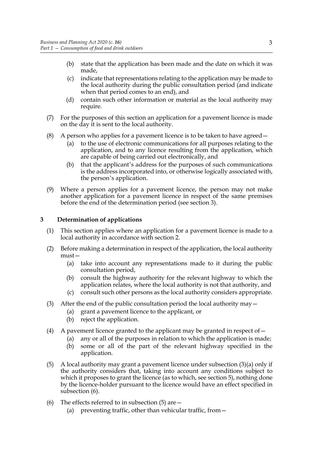- (b) state that the application has been made and the date on which it was made,
- (c) indicate that representations relating to the application may be made to the local authority during the public consultation period (and indicate when that period comes to an end), and
- (d) contain such other information or material as the local authority may require.
- (7) For the purposes of this section an application for a pavement licence is made on the day it is sent to the local authority.
- (8) A person who applies for a pavement licence is to be taken to have agreed—
	- (a) to the use of electronic communications for all purposes relating to the application, and to any licence resulting from the application, which are capable of being carried out electronically, and
	- (b) that the applicant's address for the purposes of such communications is the address incorporated into, or otherwise logically associated with, the person's application.
- (9) Where a person applies for a pavement licence, the person may not make another application for a pavement licence in respect of the same premises before the end of the determination period (see section [3](#page-6-1)).

#### <span id="page-6-1"></span><span id="page-6-0"></span>**3 Determination of applications**

- (1) This section applies where an application for a pavement licence is made to a local authority in accordance with section [2](#page-5-3).
- (2) Before making a determination in respect of the application, the local authority must—
	- (a) take into account any representations made to it during the public consultation period,
	- (b) consult the highway authority for the relevant highway to which the application relates, where the local authority is not that authority, and
	- (c) consult such other persons as the local authority considers appropriate.
- <span id="page-6-6"></span><span id="page-6-2"></span>(3) After the end of the public consultation period the local authority may  $-$ 
	- (a) grant a pavement licence to the applicant, or
	- (b) reject the application.
- (4) A pavement licence granted to the applicant may be granted in respect of  $-$ 
	- (a) any or all of the purposes in relation to which the application is made;
	- (b) some or all of the part of the relevant highway specified in the application.
- <span id="page-6-4"></span>(5) A local authority may grant a pavement licence under subsection [\(3\)\(a\)](#page-6-2) only if the authority considers that, taking into account any conditions subject to which it proposes to grant the licence (as to which, see section [5](#page-8-2)), nothing done by the licence-holder pursuant to the licence would have an effect specified in subsection [\(6\).](#page-6-3)
- <span id="page-6-5"></span><span id="page-6-3"></span>(6) The effects referred to in subsection  $(5)$  are  $-$ 
	- (a) preventing traffic, other than vehicular traffic, from—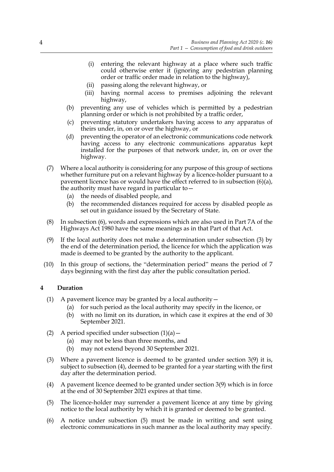- (i) entering the relevant highway at a place where such traffic could otherwise enter it (ignoring any pedestrian planning order or traffic order made in relation to the highway),
- (ii) passing along the relevant highway, or
- (iii) having normal access to premises adjoining the relevant highway,
- (b) preventing any use of vehicles which is permitted by a pedestrian planning order or which is not prohibited by a traffic order,
- (c) preventing statutory undertakers having access to any apparatus of theirs under, in, on or over the highway, or
- (d) preventing the operator of an electronic communications code network having access to any electronic communications apparatus kept installed for the purposes of that network under, in, on or over the highway.
- (7) Where a local authority is considering for any purpose of this group of sections whether furniture put on a relevant highway by a licence-holder pursuant to a pavement licence has or would have the effect referred to in subsection [\(6\)\(a\)](#page-6-5), the authority must have regard in particular to—
	- (a) the needs of disabled people, and
	- (b) the recommended distances required for access by disabled people as set out in guidance issued by the Secretary of State.
- (8) In subsection [\(6\),](#page-6-3) words and expressions which are also used in Part 7A of the Highways Act 1980 have the same meanings as in that Part of that Act.
- <span id="page-7-2"></span>(9) If the local authority does not make a determination under subsection [\(3\)](#page-6-6) by the end of the determination period, the licence for which the application was made is deemed to be granted by the authority to the applicant.
- <span id="page-7-4"></span>(10) In this group of sections, the "determination period" means the period of 7 days beginning with the first day after the public consultation period.

#### <span id="page-7-5"></span><span id="page-7-0"></span>**4 Duration**

- <span id="page-7-9"></span><span id="page-7-6"></span><span id="page-7-1"></span>(1) A pavement licence may be granted by a local authority  $-$ 
	- (a) for such period as the local authority may specify in the licence, or
	- (b) with no limit on its duration, in which case it expires at the end of 30 September 2021.
- (2) A period specified under subsection  $(1)(a)$ 
	- (a) may not be less than three months, and
	- (b) may not extend beyond 30 September 2021.
- <span id="page-7-7"></span>(3) Where a pavement licence is deemed to be granted under section [3](#page-6-1)[\(9\)](#page-7-2) it is, subject to subsection (4), deemed to be granted for a year starting with the first day after the determination period.
- <span id="page-7-8"></span>(4) A pavement licence deemed to be granted under section [3](#page-6-1)[\(9\)](#page-7-2) which is in force at the end of 30 September 2021 expires at that time.
- <span id="page-7-3"></span>(5) The licence-holder may surrender a pavement licence at any time by giving notice to the local authority by which it is granted or deemed to be granted.
- (6) A notice under subsection [\(5\)](#page-7-3) must be made in writing and sent using electronic communications in such manner as the local authority may specify.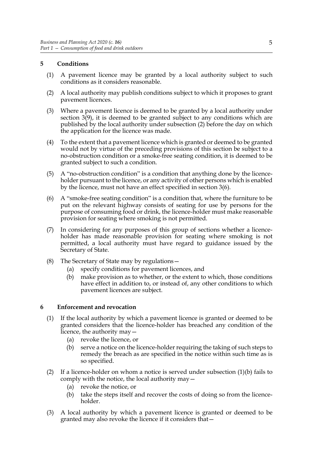#### <span id="page-8-2"></span><span id="page-8-0"></span>**5 Conditions**

- (1) A pavement licence may be granted by a local authority subject to such conditions as it considers reasonable.
- <span id="page-8-3"></span>(2) A local authority may publish conditions subject to which it proposes to grant pavement licences.
- (3) Where a pavement licence is deemed to be granted by a local authority under section [3](#page-6-1)[\(9\)](#page-7-2), it is deemed to be granted subject to any conditions which are published by the local authority under subsection [\(2\)](#page-8-3) before the day on which the application for the licence was made.
- (4) To the extent that a pavement licence which is granted or deemed to be granted would not by virtue of the preceding provisions of this section be subject to a no-obstruction condition or a smoke-free seating condition, it is deemed to be granted subject to such a condition.
- (5) A "no-obstruction condition" is a condition that anything done by the licenceholder pursuant to the licence, or any activity of other persons which is enabled by the licence, must not have an effect specified in section [3](#page-6-1)[\(6\).](#page-6-3)
- (6) A "smoke-free seating condition" is a condition that, where the furniture to be put on the relevant highway consists of seating for use by persons for the purpose of consuming food or drink, the licence-holder must make reasonable provision for seating where smoking is not permitted.
- (7) In considering for any purposes of this group of sections whether a licenceholder has made reasonable provision for seating where smoking is not permitted, a local authority must have regard to guidance issued by the Secretary of State.
- (8) The Secretary of State may by regulations—
	- (a) specify conditions for pavement licences, and
	- (b) make provision as to whether, or the extent to which, those conditions have effect in addition to, or instead of, any other conditions to which pavement licences are subject.

#### <span id="page-8-4"></span><span id="page-8-1"></span>**6 Enforcement and revocation**

- (1) If the local authority by which a pavement licence is granted or deemed to be granted considers that the licence-holder has breached any condition of the licence, the authority may—
	- (a) revoke the licence, or
	- (b) serve a notice on the licence-holder requiring the taking of such steps to remedy the breach as are specified in the notice within such time as is so specified.
- (2) If a licence-holder on whom a notice is served under subsection (1)(b) fails to comply with the notice, the local authority may—
	- (a) revoke the notice, or
	- (b) take the steps itself and recover the costs of doing so from the licenceholder.
- (3) A local authority by which a pavement licence is granted or deemed to be granted may also revoke the licence if it considers that—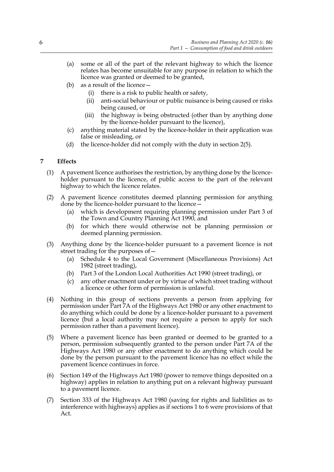- (a) some or all of the part of the relevant highway to which the licence relates has become unsuitable for any purpose in relation to which the licence was granted or deemed to be granted,
- (b) as a result of the licence—
	- (i) there is a risk to public health or safety,
	- (ii) anti-social behaviour or public nuisance is being caused or risks being caused, or
	- (iii) the highway is being obstructed (other than by anything done by the licence-holder pursuant to the licence),
- anything material stated by the licence-holder in their application was false or misleading, or
- <span id="page-9-0"></span>(d) the licence-holder did not comply with the duty in section [2](#page-5-3)[\(5\).](#page-5-2)

#### **7 Effects**

- (1) A pavement licence authorises the restriction, by anything done by the licenceholder pursuant to the licence, of public access to the part of the relevant highway to which the licence relates.
- (2) A pavement licence constitutes deemed planning permission for anything done by the licence-holder pursuant to the licence—
	- (a) which is development requiring planning permission under Part 3 of the Town and Country Planning Act 1990, and
	- (b) for which there would otherwise not be planning permission or deemed planning permission.
- (3) Anything done by the licence-holder pursuant to a pavement licence is not street trading for the purposes of—
	- (a) Schedule 4 to the Local Government (Miscellaneous Provisions) Act 1982 (street trading),
	- (b) Part 3 of the London Local Authorities Act 1990 (street trading), or
	- (c) any other enactment under or by virtue of which street trading without a licence or other form of permission is unlawful.
- (4) Nothing in this group of sections prevents a person from applying for permission under Part 7A of the Highways Act 1980 or any other enactment to do anything which could be done by a licence-holder pursuant to a pavement licence (but a local authority may not require a person to apply for such permission rather than a pavement licence).
- (5) Where a pavement licence has been granted or deemed to be granted to a person, permission subsequently granted to the person under Part 7A of the Highways Act 1980 or any other enactment to do anything which could be done by the person pursuant to the pavement licence has no effect while the pavement licence continues in force.
- (6) Section 149 of the Highways Act 1980 (power to remove things deposited on a highway) applies in relation to anything put on a relevant highway pursuant to a pavement licence.
- (7) Section 333 of the Highways Act 1980 (saving for rights and liabilities as to interference with highways) applies as if sections [1](#page-4-1) to  $\overline{6}$  $\overline{6}$  $\overline{6}$  were provisions of that Act.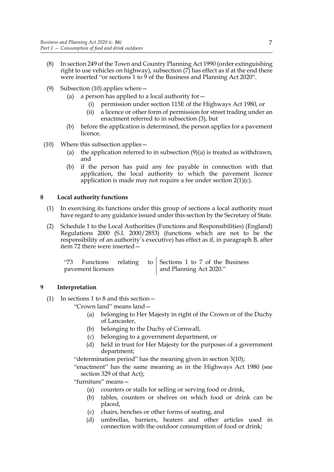- (8) In section 249 of the Town and Country Planning Act 1990 (order extinguishing right to use vehicles on highway), subsection (7) has effect as if at the end there were inserted "or sections [1](#page-4-1) to [9](#page-10-2) of the Business and Planning Act 2020".
- <span id="page-10-4"></span>(9) Subsection (10) applies where—
	- (a) a person has applied to a local authority for  $-$ 
		- (i) permission under section 115E of the Highways Act 1980, or
		- (ii) a licence or other form of permission for street trading under an enactment referred to in subsection (3), but
	- (b) before the application is determined, the person applies for a pavement licence.
- (10) Where this subsection applies—
	- (a) the application referred to in subsection  $(9)(a)$  is treated as withdrawn, and
	- (b) if the person has paid any fee payable in connection with that application, the local authority to which the pavement licence application is made may not require a fee under section [2](#page-5-3)[\(1\)\(c\)](#page-5-4).

#### <span id="page-10-3"></span><span id="page-10-0"></span>**8 Local authority functions**

- (1) In exercising its functions under this group of sections a local authority must have regard to any guidance issued under this section by the Secretary of State.
- (2) Schedule 1 to the Local Authorities (Functions and Responsibilities) (England) Regulations 2000 (S.I. 2000/2853) (functions which are not to be the responsibility of an authority's executive) has effect as if, in paragraph B, after item 72 there were inserted—

|                   |  |  |                         | "73 Functions relating to Sections 1 to 7 of the Business |
|-------------------|--|--|-------------------------|-----------------------------------------------------------|
| pavement licences |  |  | and Planning Act 2020." |                                                           |

#### <span id="page-10-2"></span><span id="page-10-1"></span>**9 Interpretation**

(1) In sections [1](#page-4-1) to [8](#page-10-3) and this section—

"Crown land" means land—

- (a) belonging to Her Majesty in right of the Crown or of the Duchy of Lancaster,
- (b) belonging to the Duchy of Cornwall,
- (c) belonging to a government department, or
- (d) held in trust for Her Majesty for the purposes of a government department;

"determination period" has the meaning given in section [3](#page-6-1)[\(10\);](#page-7-4)

"enactment" has the same meaning as in the Highways Act 1980 (see section 329 of that Act);

"furniture" means—

- (a) counters or stalls for selling or serving food or drink,
- (b) tables, counters or shelves on which food or drink can be placed,
- (c) chairs, benches or other forms of seating, and
- (d) umbrellas, barriers, heaters and other articles used in connection with the outdoor consumption of food or drink;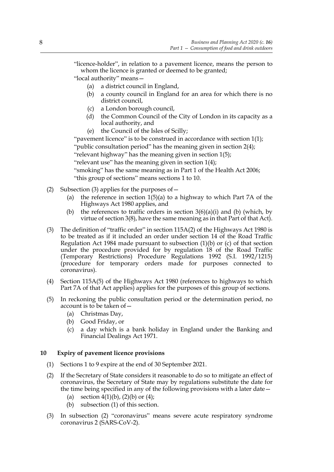"licence-holder", in relation to a pavement licence, means the person to whom the licence is granted or deemed to be granted;

"local authority" means—

- (a) a district council in England,
- (b) a county council in England for an area for which there is no district council,
- (c) a London borough council,
- (d) the Common Council of the City of London in its capacity as a local authority, and
- (e) the Council of the Isles of Scilly;

"pavement licence" is to be construed in accordance with section [1\(](#page-4-1)1); "public consultation period" has the meaning given in section [2](#page-5-3)[\(4\);](#page-5-5) "relevant highway" has the meaning given in section [1](#page-4-1)[\(5\);](#page-5-6) "relevant use" has the meaning given in section [1](#page-4-1)[\(4\)](#page-4-4); "smoking" has the same meaning as in Part 1 of the Health Act 2006; "this group of sections" means sections [1](#page-4-1) to [10.](#page-11-1)

- (2) Subsection (3) applies for the purposes of—
	- (a) the reference in section  $1(5)(a)$  $1(5)(a)$  to a highway to which Part 7A of the Highways Act 1980 applies, and
	- (b) the references to traffic orders in section  $3(6)(a)(i)$  $3(6)(a)(i)$  and (b) (which, by virtue of section [3\(](#page-6-1)8), have the same meaning as in that Part of that Act).
- (3) The definition of "traffic order" in section 115A(2) of the Highways Act 1980 is to be treated as if it included an order under section 14 of the Road Traffic Regulation Act 1984 made pursuant to subsection  $(1)(b)$  or  $(c)$  of that section under the procedure provided for by regulation 18 of the Road Traffic (Temporary Restrictions) Procedure Regulations 1992 (S.I. 1992/1215) (procedure for temporary orders made for purposes connected to coronavirus).
- (4) Section 115A(5) of the Highways Act 1980 (references to highways to which Part 7A of that Act applies) applies for the purposes of this group of sections.
- (5) In reckoning the public consultation period or the determination period, no account is to be taken of—
	- (a) Christmas Day,
	- (b) Good Friday, or
	- (c) a day which is a bank holiday in England under the Banking and Financial Dealings Act 1971.

#### <span id="page-11-1"></span><span id="page-11-0"></span>**10 Expiry of pavement licence provisions**

- (1) Sections [1](#page-4-1) to [9](#page-10-2) expire at the end of 30 September 2021.
- <span id="page-11-2"></span>(2) If the Secretary of State considers it reasonable to do so to mitigate an effect of coronavirus, the Secretary of State may by regulations substitute the date for the time being specified in any of the following provisions with a later date—
	- (a) section  $4(1)(b)$  $4(1)(b)$ ,  $(2)(b)$  or  $(4)$ ;
	- (b) subsection [\(1\)](#page-7-9) of this section.
- (3) In subsection [\(2\)](#page-11-2) "coronavirus" means severe acute respiratory syndrome coronavirus 2 (SARS-CoV-2).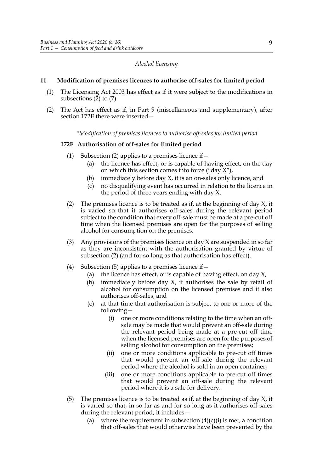#### *Alcohol licensing*

#### <span id="page-12-12"></span><span id="page-12-0"></span>**11 Modification of premises licences to authorise off-sales for limited period**

- <span id="page-12-11"></span>(1) The Licensing Act 2003 has effect as if it were subject to the modifications in subsections [\(2\)](#page-12-1) to [\(7\)](#page-23-0).
- <span id="page-12-1"></span>(2) The Act has effect as if, in Part 9 (miscellaneous and supplementary), after section 172E there were inserted—

*"Modification of premises licences to authorise off-sales for limited period*

#### <span id="page-12-10"></span>**172F Authorisation of off-sales for limited period**

- (1) Subsection [\(2\)](#page-12-2) applies to a premises licence if  $-$ 
	- (a) the licence has effect, or is capable of having effect, on the day on which this section comes into force ("day  $X$ "),
	- (b) immediately before day X, it is an on-sales only licence, and
	- (c) no disqualifying event has occurred in relation to the licence in the period of three years ending with day X.
- <span id="page-12-9"></span><span id="page-12-2"></span>(2) The premises licence is to be treated as if, at the beginning of day  $X$ , it is varied so that it authorises off-sales during the relevant period subject to the condition that every off-sale must be made at a pre-cut off time when the licensed premises are open for the purposes of selling alcohol for consumption on the premises.
- <span id="page-12-8"></span>(3) Any provisions of the premises licence on day X are suspended in so far as they are inconsistent with the authorisation granted by virtue of subsection [\(2\)](#page-12-2) (and for so long as that authorisation has effect).
- <span id="page-12-4"></span>(4) Subsection [\(5\)](#page-12-3) applies to a premises licence if  $-$ 
	- (a) the licence has effect, or is capable of having effect, on day  $X$ ,
	- (b) immediately before day X, it authorises the sale by retail of alcohol for consumption on the licensed premises and it also authorises off-sales, and
	- (c) at that time that authorisation is subject to one or more of the following—
		- (i) one or more conditions relating to the time when an offsale may be made that would prevent an off-sale during the relevant period being made at a pre-cut off time when the licensed premises are open for the purposes of selling alcohol for consumption on the premises;
		- (ii) one or more conditions applicable to pre-cut off times that would prevent an off-sale during the relevant period where the alcohol is sold in an open container;
		- (iii) one or more conditions applicable to pre-cut off times that would prevent an off-sale during the relevant period where it is a sale for delivery.
- <span id="page-12-7"></span><span id="page-12-6"></span><span id="page-12-5"></span><span id="page-12-3"></span>(5) The premises licence is to be treated as if, at the beginning of day X, it is varied so that, in so far as and for so long as it authorises off-sales during the relevant period, it includes—
	- (a) where the requirement in subsection  $(4)(c)(i)$  is met, a condition that off-sales that would otherwise have been prevented by the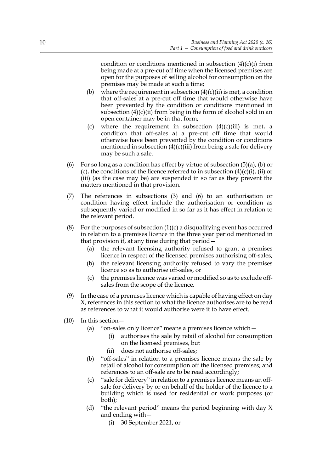condition or conditions mentioned in subsection  $(4)(c)(i)$  from being made at a pre-cut off time when the licensed premises are open for the purposes of selling alcohol for consumption on the premises may be made at such a time;

- <span id="page-13-0"></span>(b) where the requirement in subsection  $(4)(c)(ii)$  is met, a condition that off-sales at a pre-cut off time that would otherwise have been prevented by the condition or conditions mentioned in subsection  $(4)(c)(ii)$  from being in the form of alcohol sold in an open container may be in that form;
- <span id="page-13-1"></span>(c) where the requirement in subsection  $(4)(c)(iii)$  is met, a condition that off-sales at a pre-cut off time that would otherwise have been prevented by the condition or conditions mentioned in subsection  $(4)(c)(iii)$  from being a sale for delivery may be such a sale.
- <span id="page-13-2"></span>(6) For so long as a condition has effect by virtue of subsection  $(5)(a)$ , [\(b\)](#page-13-0) or [\(c\)](#page-13-1), the conditions of the licence referred to in subsection  $(4)(c)(i)$ , [\(ii\)](#page-12-5) or [\(iii\)](#page-12-6) (as the case may be) are suspended in so far as they prevent the matters mentioned in that provision.
- (7) The references in subsections [\(3\)](#page-12-8) and [\(6\)](#page-13-2) to an authorisation or condition having effect include the authorisation or condition as subsequently varied or modified in so far as it has effect in relation to the relevant period.
- (8) For the purposes of subsection  $(1)(c)$  a disqualifying event has occurred in relation to a premises licence in the three year period mentioned in that provision if, at any time during that period—
	- (a) the relevant licensing authority refused to grant a premises licence in respect of the licensed premises authorising off-sales,
	- (b) the relevant licensing authority refused to vary the premises licence so as to authorise off-sales, or
	- (c) the premises licence was varied or modified so as to exclude offsales from the scope of the licence.
- (9) In the case of a premises licence which is capable of having effect on day X, references in this section to what the licence authorises are to be read as references to what it would authorise were it to have effect.
- <span id="page-13-4"></span><span id="page-13-3"></span>(10) In this section—
	- (a) "on-sales only licence" means a premises licence which—
		- (i) authorises the sale by retail of alcohol for consumption on the licensed premises, but
		- (ii) does not authorise off-sales;
	- (b) "off-sales" in relation to a premises licence means the sale by retail of alcohol for consumption off the licensed premises; and references to an off-sale are to be read accordingly;
	- (c) "sale for delivery" in relation to a premises licence means an offsale for delivery by or on behalf of the holder of the licence to a building which is used for residential or work purposes (or both);
	- (d) "the relevant period" means the period beginning with day X and ending with—
		- (i) 30 September 2021, or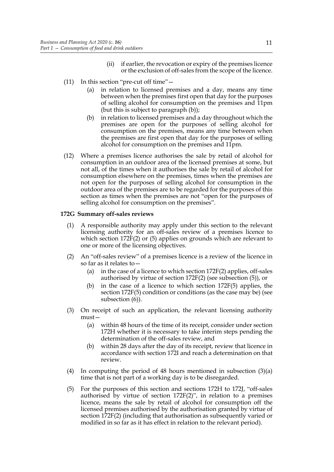- (ii) if earlier, the revocation or expiry of the premises licence or the exclusion of off-sales from the scope of the licence.
- <span id="page-14-0"></span>(11) In this section "pre-cut off time"—
	- (a) in relation to licensed premises and a day, means any time between when the premises first open that day for the purposes of selling alcohol for consumption on the premises and 11pm (but this is subject to paragraph [\(b\)\)](#page-14-0);
	- (b) in relation to licensed premises and a day throughout which the premises are open for the purposes of selling alcohol for consumption on the premises, means any time between when the premises are first open that day for the purposes of selling alcohol for consumption on the premises and 11pm.
- (12) Where a premises licence authorises the sale by retail of alcohol for consumption in an outdoor area of the licensed premises at some, but not all, of the times when it authorises the sale by retail of alcohol for consumption elsewhere on the premises, times when the premises are not open for the purposes of selling alcohol for consumption in the outdoor area of the premises are to be regarded for the purposes of this section as times when the premises are not "open for the purposes of selling alcohol for consumption on the premises".

#### <span id="page-14-3"></span>**172G Summary off-sales reviews**

- (1) A responsible authority may apply under this section to the relevant licensing authority for an off-sales review of a premises licence to which section [172F](#page-12-10)[\(2\)](#page-12-2) or [\(5\)](#page-12-3) applies on grounds which are relevant to one or more of the licensing objectives.
- (2) An "off-sales review" of a premises licence is a review of the licence in so far as it relates to—
	- (a) in the case of a licence to which section  $172F(2)$  $172F(2)$  applies, off-sales authorised by virtue of section [172F](#page-12-10)[\(2\)](#page-12-2) (see subsection [\(5\)\)](#page-14-1), or
	- (b) in the case of a licence to which section [172F](#page-12-10)[\(5\)](#page-12-3) applies, the section [172F](#page-12-10)[\(5\)](#page-12-3) condition or conditions (as the case may be) (see subsection [\(6\)\)](#page-15-0).
- <span id="page-14-2"></span>(3) On receipt of such an application, the relevant licensing authority must—
	- (a) within 48 hours of the time of its receipt, consider under section [172H](#page-15-1) whether it is necessary to take interim steps pending the determination of the off-sales review, and
	- (b) within 28 days after the day of its receipt, review that licence in accordance with section [172I](#page-16-0) and reach a determination on that review.
- <span id="page-14-4"></span>(4) In computing the period of 48 hours mentioned in subsection [\(3\)\(a\)](#page-14-2) time that is not part of a working day is to be disregarded.
- <span id="page-14-1"></span>(5) For the purposes of this section and sections [172H](#page-15-1) to [172J](#page-18-0), "off-sales authorised by virtue of section [172F](#page-12-10)[\(2\)"](#page-12-2), in relation to a premises licence, means the sale by retail of alcohol for consumption off the licensed premises authorised by the authorisation granted by virtue of section [172F](#page-12-10)[\(2\)](#page-12-2) (including that authorisation as subsequently varied or modified in so far as it has effect in relation to the relevant period).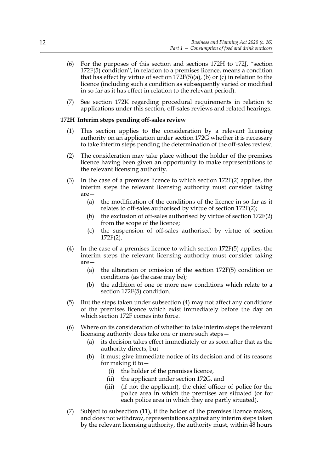- <span id="page-15-0"></span>(6) For the purposes of this section and sections [172H](#page-15-1) to [172J,](#page-18-0) "section [172F](#page-12-10)[\(5\)](#page-12-3) condition", in relation to a premises licence, means a condition that has effect by virtue of section  $172F(5)(a)$  $172F(5)(a)$  $172F(5)(a)$ , (b) or [\(c\)](#page-13-1) in relation to the licence (including such a condition as subsequently varied or modified in so far as it has effect in relation to the relevant period).
- (7) See section [172K](#page-19-0) regarding procedural requirements in relation to applications under this section, off-sales reviews and related hearings.

#### <span id="page-15-1"></span>**172H Interim steps pending off-sales review**

- (1) This section applies to the consideration by a relevant licensing authority on an application under section [172G](#page-14-3) whether it is necessary to take interim steps pending the determination of the off-sales review.
- (2) The consideration may take place without the holder of the premises licence having been given an opportunity to make representations to the relevant licensing authority.
- <span id="page-15-4"></span>(3) In the case of a premises licence to which section [172F](#page-12-10)[\(2\)](#page-12-2) applies, the interim steps the relevant licensing authority must consider taking are—
	- (a) the modification of the conditions of the licence in so far as it relates to off-sales authorised by virtue of section [172F](#page-12-10)[\(2\)](#page-12-2);
	- (b) the exclusion of off-sales authorised by virtue of section [172F](#page-12-10)[\(2\)](#page-12-2) from the scope of the licence;
	- (c) the suspension of off-sales authorised by virtue of section [172F](#page-12-10)[\(2\)](#page-12-2).
- <span id="page-15-2"></span>(4) In the case of a premises licence to which section [172F](#page-12-10)[\(5\)](#page-12-3) applies, the interim steps the relevant licensing authority must consider taking are—
	- (a) the alteration or omission of the section [172F](#page-12-10)[\(5\)](#page-12-3) condition or conditions (as the case may be);
	- (b) the addition of one or more new conditions which relate to a section [172F](#page-12-10)[\(5\)](#page-12-3) condition.
- (5) But the steps taken under subsection [\(4\)](#page-15-2) may not affect any conditions of the premises licence which exist immediately before the day on which section [172F](#page-12-10) comes into force.
- (6) Where on its consideration of whether to take interim steps the relevant licensing authority does take one or more such steps—
	- (a) its decision takes effect immediately or as soon after that as the authority directs, but
	- (b) it must give immediate notice of its decision and of its reasons for making it to—
		- (i) the holder of the premises licence,
		- (ii) the applicant under section [172G,](#page-14-3) and
		- (iii) (if not the applicant), the chief officer of police for the police area in which the premises are situated (or for each police area in which they are partly situated).
- <span id="page-15-3"></span>(7) Subject to subsection [\(11\),](#page-16-1) if the holder of the premises licence makes, and does not withdraw, representations against any interim steps taken by the relevant licensing authority, the authority must, within 48 hours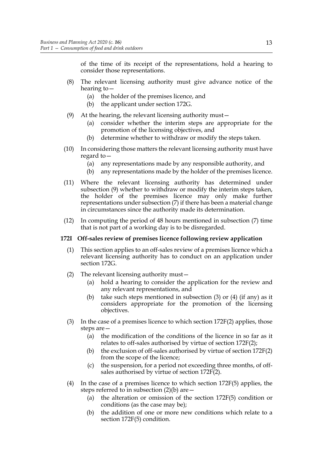of the time of its receipt of the representations, hold a hearing to consider those representations.

- (8) The relevant licensing authority must give advance notice of the hearing to—
	- (a) the holder of the premises licence, and
	- (b) the applicant under section [172G.](#page-14-3)
- <span id="page-16-2"></span>(9) At the hearing, the relevant licensing authority must—
	- (a) consider whether the interim steps are appropriate for the promotion of the licensing objectives, and
	- (b) determine whether to withdraw or modify the steps taken.
- (10) In considering those matters the relevant licensing authority must have regard to—
	- (a) any representations made by any responsible authority, and
	- (b) any representations made by the holder of the premises licence.
- <span id="page-16-1"></span>(11) Where the relevant licensing authority has determined under subsection [\(9\)](#page-16-2) whether to withdraw or modify the interim steps taken, the holder of the premises licence may only make further representations under subsection [\(7\)](#page-15-3) if there has been a material change in circumstances since the authority made its determination.
- (12) In computing the period of 48 hours mentioned in subsection [\(7\)](#page-15-3) time that is not part of a working day is to be disregarded.

#### <span id="page-16-0"></span>**172I Off-sales review of premises licence following review application**

- (1) This section applies to an off-sales review of a premises licence which a relevant licensing authority has to conduct on an application under section [172G.](#page-14-3)
- <span id="page-16-5"></span>(2) The relevant licensing authority must—
	- (a) hold a hearing to consider the application for the review and any relevant representations, and
	- (b) take such steps mentioned in subsection [\(3\)](#page-16-3) or [\(4\)](#page-16-4) (if any) as it considers appropriate for the promotion of the licensing objectives.
- <span id="page-16-7"></span><span id="page-16-6"></span><span id="page-16-3"></span>(3) In the case of a premises licence to which section [172F](#page-12-10)[\(2\)](#page-12-2) applies, those steps are—
	- (a) the modification of the conditions of the licence in so far as it relates to off-sales authorised by virtue of section [172F](#page-12-10)[\(2\)](#page-12-2);
	- (b) the exclusion of off-sales authorised by virtue of section 172[F\(2\)](#page-12-2) from the scope of the licence;
	- (c) the suspension, for a period not exceeding three months, of offsales authorised by virtue of section [172F](#page-12-10)[\(2\)](#page-12-2).
- <span id="page-16-4"></span>(4) In the case of a premises licence to which section [172F](#page-12-10)[\(5\)](#page-12-3) applies, the steps referred to in subsection  $(2)(b)$  are  $-$ 
	- (a) the alteration or omission of the section [172F](#page-12-10)[\(5\)](#page-12-3) condition or conditions (as the case may be);
	- (b) the addition of one or more new conditions which relate to a section [172F](#page-12-10)[\(5\)](#page-12-3) condition.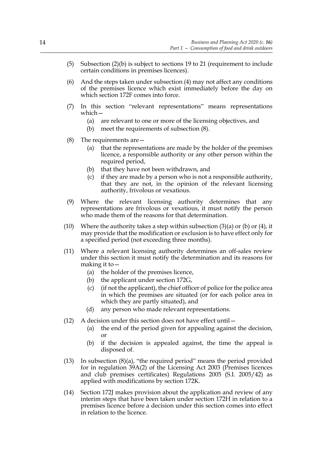- (5) Subsection [\(2\)\(b\)](#page-16-5) is subject to sections 19 to 21 (requirement to include certain conditions in premises licences).
- (6) And the steps taken under subsection [\(4\)](#page-16-4) may not affect any conditions of the premises licence which exist immediately before the day on which section [172F](#page-12-10) comes into force.
- <span id="page-17-2"></span>(7) In this section "relevant representations" means representations which—
	- (a) are relevant to one or more of the licensing objectives, and
	- (b) meet the requirements of subsection [\(8\)](#page-17-0).
- <span id="page-17-1"></span><span id="page-17-0"></span>(8) The requirements are—
	- (a) that the representations are made by the holder of the premises licence, a responsible authority or any other person within the required period,
	- (b) that they have not been withdrawn, and
	- (c) if they are made by a person who is not a responsible authority, that they are not, in the opinion of the relevant licensing authority, frivolous or vexatious.
- (9) Where the relevant licensing authority determines that any representations are frivolous or vexatious, it must notify the person who made them of the reasons for that determination.
- (10) Where the authority takes a step within subsection [\(3\)\(a\)](#page-16-6) or [\(b\)](#page-16-7) or [\(4\),](#page-16-4) it may provide that the modification or exclusion is to have effect only for a specified period (not exceeding three months).
- (11) Where a relevant licensing authority determines an off-sales review under this section it must notify the determination and its reasons for making it to—
	- (a) the holder of the premises licence,
	- (b) the applicant under section [172G,](#page-14-3)
	- (c) (if not the applicant), the chief officer of police for the police area in which the premises are situated (or for each police area in which they are partly situated), and
	- (d) any person who made relevant representations.
- (12) A decision under this section does not have effect until—
	- (a) the end of the period given for appealing against the decision, or
	- (b) if the decision is appealed against, the time the appeal is disposed of.
- (13) In subsection [\(8\)\(a\),](#page-17-1) "the required period" means the period provided for in regulation 39A(2) of the Licensing Act 2003 (Premises licences and club premises certificates) Regulations 2005 (S.I. 2005/42) as applied with modifications by section [172K](#page-19-0).
- (14) Section [172J](#page-18-0) makes provision about the application and review of any interim steps that have been taken under section [172H](#page-15-1) in relation to a premises licence before a decision under this section comes into effect in relation to the licence.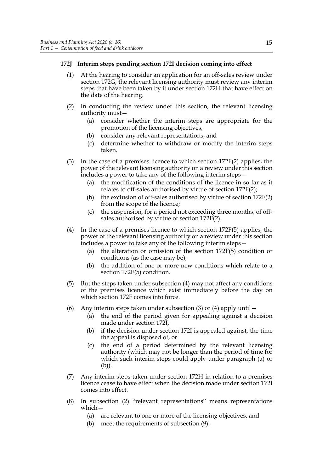#### <span id="page-18-0"></span>**172J Interim steps pending section [172I](#page-16-0) decision coming into effect**

- (1) At the hearing to consider an application for an off-sales review under section [172G,](#page-14-3) the relevant licensing authority must review any interim steps that have been taken by it under section [172H](#page-15-1) that have effect on the date of the hearing.
- <span id="page-18-5"></span>(2) In conducting the review under this section, the relevant licensing authority must—
	- (a) consider whether the interim steps are appropriate for the promotion of the licensing objectives,
	- (b) consider any relevant representations, and
	- (c) determine whether to withdraw or modify the interim steps taken.
- <span id="page-18-6"></span><span id="page-18-2"></span>(3) In the case of a premises licence to which section [172F](#page-12-10)[\(2\)](#page-12-2) applies, the power of the relevant licensing authority on a review under this section includes a power to take any of the following interim steps—
	- (a) the modification of the conditions of the licence in so far as it relates to off-sales authorised by virtue of section [172F](#page-12-10)[\(2\)](#page-12-2);
	- (b) the exclusion of off-sales authorised by virtue of section [172F](#page-12-10)[\(2\)](#page-12-2) from the scope of the licence;
	- (c) the suspension, for a period not exceeding three months, of offsales authorised by virtue of section [172F](#page-12-10)[\(2\)](#page-12-2).
- <span id="page-18-1"></span>(4) In the case of a premises licence to which section [172F](#page-12-10)[\(5\)](#page-12-3) applies, the power of the relevant licensing authority on a review under this section includes a power to take any of the following interim steps—
	- (a) the alteration or omission of the section [172F](#page-12-10)[\(5\)](#page-12-3) condition or conditions (as the case may be);
	- (b) the addition of one or more new conditions which relate to a section [172F](#page-12-10)[\(5\)](#page-12-3) condition.
- (5) But the steps taken under subsection [\(4\)](#page-18-1) may not affect any conditions of the premises licence which exist immediately before the day on which section [172F](#page-12-10) comes into force.
- <span id="page-18-4"></span><span id="page-18-3"></span>(6) Any interim steps taken under subsection [\(3\)](#page-18-2) or [\(4\)](#page-18-1) apply until  $-$ 
	- (a) the end of the period given for appealing against a decision made under section [172I,](#page-16-0)
	- (b) if the decision under section [172I](#page-16-0) is appealed against, the time the appeal is disposed of, or
	- (c) the end of a period determined by the relevant licensing authority (which may not be longer than the period of time for which such interim steps could apply under paragraph [\(a\)](#page-18-3) or [\(b\)](#page-18-4)).
- (7) Any interim steps taken under section [172H](#page-15-1) in relation to a premises licence cease to have effect when the decision made under section [172I](#page-16-0) comes into effect.
- <span id="page-18-7"></span>(8) In subsection [\(2\)](#page-18-5) "relevant representations" means representations which—
	- (a) are relevant to one or more of the licensing objectives, and
	- (b) meet the requirements of subsection [\(9\)](#page-19-1).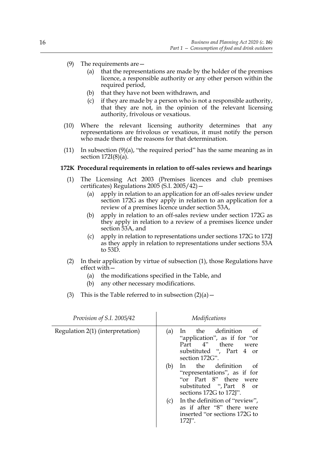- <span id="page-19-2"></span><span id="page-19-1"></span>(9) The requirements are—
	- (a) that the representations are made by the holder of the premises licence, a responsible authority or any other person within the required period,
	- (b) that they have not been withdrawn, and
	- (c) if they are made by a person who is not a responsible authority, that they are not, in the opinion of the relevant licensing authority, frivolous or vexatious.
- (10) Where the relevant licensing authority determines that any representations are frivolous or vexatious, it must notify the person who made them of the reasons for that determination.
- (11) In subsection  $(9)(a)$ , "the required period" has the same meaning as in section [172I](#page-16-0)[\(8\)\(a\)](#page-17-1).

#### <span id="page-19-3"></span><span id="page-19-0"></span>**172K Procedural requirements in relation to off-sales reviews and hearings**

- (1) The Licensing Act 2003 (Premises licences and club premises certificates) Regulations 2005 (S.I. 2005/42)—
	- (a) apply in relation to an application for an off-sales review under section [172G](#page-14-3) as they apply in relation to an application for a review of a premises licence under section 53A,
	- (b) apply in relation to an off-sales review under section [172G](#page-14-3) as they apply in relation to a review of a premises licence under section 53A, and
	- (c) apply in relation to representations under sections [172G](#page-14-3) to [172J](#page-18-0) as they apply in relation to representations under sections 53A to 53D.
- <span id="page-19-4"></span>(2) In their application by virtue of subsection [\(1\)](#page-19-3), those Regulations have effect with—
	- (a) the modifications specified in the Table, and
	- (b) any other necessary modifications.
- (3) This is the Table referred to in subsection  $(2)(a)$  –

| Provision of S.I. 2005/42        | Modifications                                                                                                                                         |  |
|----------------------------------|-------------------------------------------------------------------------------------------------------------------------------------------------------|--|
| Regulation 2(1) (interpretation) | In the definition<br>- of<br>(a)<br>"application", as if for "or<br>Part 4" there<br>were<br>substituted ", Part 4 or<br>section 172G".               |  |
|                                  | the definition<br>(b)<br>0t<br>$\ln$<br>"representations", as if for<br>"or Part 8" there were<br>substituted ", Part 8 or<br>sections 172G to 172J". |  |
|                                  | In the definition of "review",<br>(c)<br>as if after "8" there were<br>inserted "or sections 172G to<br>$172$ $\Gamma$ .                              |  |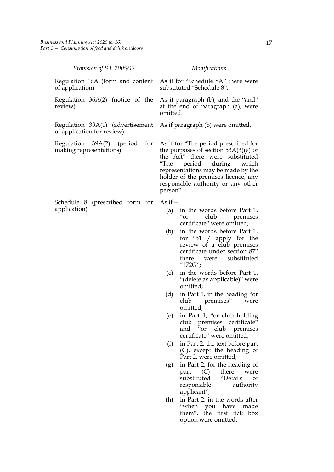| Provision of S.I. 2005/42                                      | Modifications                                                                                                                                                                                                                                                                         |
|----------------------------------------------------------------|---------------------------------------------------------------------------------------------------------------------------------------------------------------------------------------------------------------------------------------------------------------------------------------|
| Regulation 16A (form and content<br>of application)            | As if for "Schedule 8A" there were<br>substituted "Schedule 8".                                                                                                                                                                                                                       |
| Regulation $36A(2)$ (notice of the<br>review)                  | As if paragraph (b), and the "and"<br>at the end of paragraph (a), were<br>omitted.                                                                                                                                                                                                   |
| Regulation 39A(1) (advertisement<br>of application for review) | As if paragraph (b) were omitted.                                                                                                                                                                                                                                                     |
| Regulation 39A(2) (period<br>for<br>making representations)    | As if for "The period prescribed for<br>the purposes of section $53A(3)(e)$ of<br>the Act" there were substituted<br>"The<br>period<br>during<br>which<br>representations may be made by the<br>holder of the premises licence, any<br>responsible authority or any other<br>person". |
| (prescribed form for<br>Schedule 8<br>application)             | As if $-$<br>in the words before Part 1,<br>(a)<br>club<br>premises<br>"or                                                                                                                                                                                                            |
|                                                                | certificate" were omitted;<br>in the words before Part 1,<br>(b)<br>for "51 $/$ apply for the<br>review of a club premises<br>certificate under section 87"<br>substituted<br>there<br>were<br>"172G";                                                                                |
|                                                                | in the words before Part 1,<br>(c)<br>"(delete as applicable)" were<br>omitted;                                                                                                                                                                                                       |
|                                                                | (d)<br>in Part 1, in the heading "or<br>club<br>premises"<br>were<br>omitted;                                                                                                                                                                                                         |
|                                                                | in Part 1, "or club holding<br>(e)<br>club premises certificate"<br>and "or<br>club<br>premises<br>certificate" were omitted;                                                                                                                                                         |
|                                                                | (f)<br>in Part 2, the text before part<br>(C), except the heading of<br>Part 2, were omitted;                                                                                                                                                                                         |
|                                                                | in Part 2, for the heading of<br>(g)<br>part $(C)$<br>there<br>were<br>substituted<br>"Details<br>of<br>responsible<br>authority<br>applicant";                                                                                                                                       |
|                                                                | in Part 2, in the words after<br>(h)<br>when you have"<br>made<br>them", the first tick box<br>option were omitted.                                                                                                                                                                   |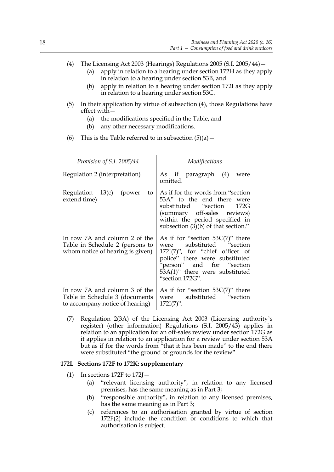- <span id="page-21-0"></span>(4) The Licensing Act 2003 (Hearings) Regulations 2005 (S.I. 2005/44)—
	- (a) apply in relation to a hearing under section [172H](#page-15-1) as they apply in relation to a hearing under section 53B, and
	- (b) apply in relation to a hearing under section [172I](#page-16-0) as they apply in relation to a hearing under section 53C.
- <span id="page-21-1"></span>(5) In their application by virtue of subsection [\(4\)](#page-21-0), those Regulations have effect with—
	- (a) the modifications specified in the Table, and
	- (b) any other necessary modifications.
- (6) This is the Table referred to in subsection  $(5)(a)$  –

| Provision of S.I. 2005/44                                                                            | Modifications                                                                                                                                                                                                                 |
|------------------------------------------------------------------------------------------------------|-------------------------------------------------------------------------------------------------------------------------------------------------------------------------------------------------------------------------------|
| Regulation 2 (interpretation)                                                                        | As if paragraph (4)<br>were<br>omitted.                                                                                                                                                                                       |
| Regulation 13(c) (power<br>to<br>extend time)                                                        | As if for the words from "section"<br>53A" to the end there were<br>substituted "section 172G<br>(summary off-sales reviews)<br>within the period specified in<br>subsection (3)(b) of that section."                         |
| In row 7A and column 2 of the<br>Table in Schedule 2 (persons to<br>whom notice of hearing is given) | As if for "section $53C(7)$ " there<br>substituted "section<br>were<br>$172I(7)$ ", for "chief officer of<br>police" there were substituted<br>"person" and for "section<br>53A(1)" there were substituted<br>"section 172G". |
| In row 7A and column 3 of the<br>Table in Schedule 3 (documents<br>to accompany notice of hearing)   | As if for "section $53C(7)$ " there<br>were substituted "section<br>$172I(7)$ ".                                                                                                                                              |

(7) Regulation 2(3A) of the Licensing Act 2003 (Licensing authority's register) (other information) Regulations (S.I. 2005/43) applies in relation to an application for an off-sales review under section [172G](#page-14-3) as it applies in relation to an application for a review under section 53A but as if for the words from "that it has been made" to the end there were substituted "the ground or grounds for the review".

#### **172L Sections [172F](#page-12-10) to [172K:](#page-19-0) supplementary**

- (1) In sections [172F](#page-12-10) to  $172$ J  $-$ 
	- (a) "relevant licensing authority", in relation to any licensed premises, has the same meaning as in Part 3;
	- (b) "responsible authority", in relation to any licensed premises, has the same meaning as in Part 3;
	- (c) references to an authorisation granted by virtue of section [172F](#page-12-10)[\(2\)](#page-12-2) include the condition or conditions to which that authorisation is subject.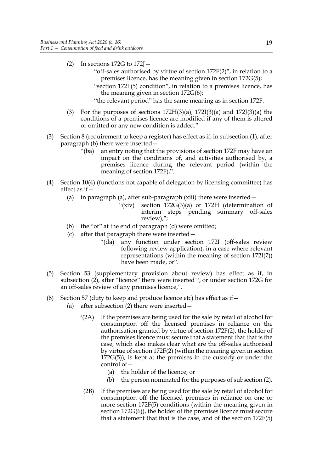- (2) In sections  $172G$  to  $172J$ 
	- "off-sales authorised by virtue of section [172F](#page-12-10)[\(2\)](#page-12-2)", in relation to a premises licence, has the meaning given in section [172G](#page-14-3)[\(5\)](#page-14-1);
	- "section [172F](#page-12-10)[\(5\)](#page-12-3) condition", in relation to a premises licence, has the meaning given in section [172G](#page-14-3)[\(6\);](#page-15-0)
	- "the relevant period" has the same meaning as in section [172F](#page-12-10).
- (3) For the purposes of sections  $172H(3)(a)$  $172H(3)(a)$ ,  $172I(3)(a)$  $172I(3)(a)$  and  $172J(3)(a)$  $172J(3)(a)$  the conditions of a premises licence are modified if any of them is altered or omitted or any new condition is added."
- (3) Section 8 (requirement to keep a register) has effect as if, in subsection (1), after paragraph (b) there were inserted—
	- "(ba) an entry noting that the provisions of section 172F may have an impact on the conditions of, and activities authorised by, a premises licence during the relevant period (within the meaning of section 172F),".
- (4) Section 10(4) (functions not capable of delegation by licensing committee) has effect as if—
	- (a) in paragraph (a), after sub-paragraph (xiii) there were inserted—
		- "(xiv) section [172G](#page-14-3)[\(3\)\(a\)](#page-14-2) or [172H](#page-15-1) (determination of interim steps pending summary off-sales review),";
	- (b) the "or" at the end of paragraph (d) were omitted;
	- (c) after that paragraph there were inserted—
		- "(da) any function under section [172I](#page-16-0) (off-sales review following review application), in a case where relevant representations (within the meaning of section [172I](#page-16-0)[\(7\)](#page-17-2)) have been made, or".
- (5) Section 53 (supplementary provision about review) has effect as if, in subsection (2), after "licence" there were inserted ", or under section 172G for an off-sales review of any premises licence,".
- (6) Section 57 (duty to keep and produce licence etc) has effect as if  $-$ 
	- (a) after subsection (2) there were inserted—
		- "(2A) If the premises are being used for the sale by retail of alcohol for consumption off the licensed premises in reliance on the authorisation granted by virtue of section 172F(2), the holder of the premises licence must secure that a statement that that is the case, which also makes clear what are the off-sales authorised by virtue of section 172F(2) (within the meaning given in section [172G](#page-14-3)[\(5\)\)](#page-14-1), is kept at the premises in the custody or under the control of—
			- (a) the holder of the licence, or
			- (b) the person nominated for the purposes of subsection (2).
		- (2B) If the premises are being used for the sale by retail of alcohol for consumption off the licensed premises in reliance on one or more section 172F(5) conditions (within the meaning given in section [172G](#page-14-3)[\(6\)](#page-15-0)), the holder of the premises licence must secure that a statement that that is the case, and of the section 172F(5)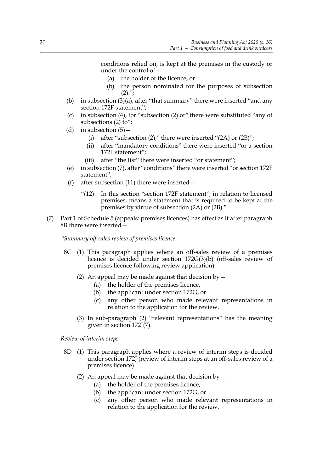conditions relied on, is kept at the premises in the custody or under the control of—

- (a) the holder of the licence, or
- (b) the person nominated for the purposes of subsection  $(2).$ ";
- (b) in subsection  $(3)(a)$ , after "that summary" there were inserted "and any section 172F statement";
- (c) in subsection (4), for "subsection (2) or" there were substituted "any of subsections (2) to";
- (d) in subsection  $(5)$ 
	- (i) after "subsection (2)," there were inserted "(2A) or (2B)";
	- (ii) after "mandatory conditions" there were inserted "or a section 172F statement";
	- (iii) after "the list" there were inserted "or statement";
- (e) in subsection (7), after "conditions" there were inserted "or section 172F statement";
- (f) after subsection  $(11)$  there were inserted  $-$ 
	- "(12) In this section "section 172F statement", in relation to licensed premises, means a statement that is required to be kept at the premises by virtue of subsection (2A) or (2B)."
- <span id="page-23-0"></span>(7) Part 1 of Schedule 5 (appeals: premises licences) has effect as if after paragraph 8B there were inserted—

*"Summary off-sales review of premises licence*

- <span id="page-23-1"></span>8C (1) This paragraph applies where an off-sales review of a premises licence is decided under section [172G](#page-14-3)[\(3\)\(b\)](#page-14-4) (off-sales review of premises licence following review application).
	- (2) An appeal may be made against that decision by  $-$ 
		- (a) the holder of the premises licence,
		- (b) the applicant under section [172G,](#page-14-3) or
		- (c) any other person who made relevant representations in relation to the application for the review.
	- (3) In sub-paragraph [\(2\)](#page-23-1) "relevant representations" has the meaning given in section [172I](#page-16-0)[\(7\).](#page-17-2)

*Review of interim steps*

- <span id="page-23-2"></span>8D (1) This paragraph applies where a review of interim steps is decided under section [172J](#page-18-0) (review of interim steps at an off-sales review of a premises licence).
	- (2) An appeal may be made against that decision by  $-$ 
		- (a) the holder of the premises licence,
		- (b) the applicant under section [172G,](#page-14-3) or
		- (c) any other person who made relevant representations in relation to the application for the review.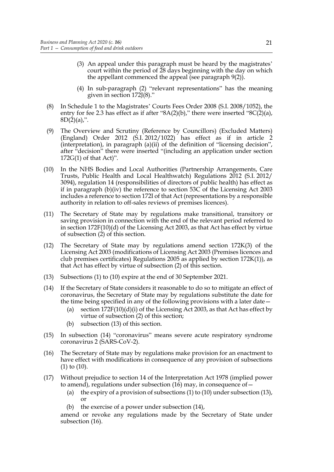- (3) An appeal under this paragraph must be heard by the magistrates' court within the period of 28 days beginning with the day on which the appellant commenced the appeal (see paragraph 9(2)).
- (4) In sub-paragraph [\(2\)](#page-23-2) "relevant representations" has the meaning given in section [172J](#page-18-0)[\(8\).](#page-18-7)"
- (8) In Schedule 1 to the Magistrates' Courts Fees Order 2008 (S.I. 2008/1052), the entry for fee 2.3 has effect as if after " $8A(2)(b)$ ," there were inserted " $8C(2)(a)$ ,  $8D(2)(a)$ ,".
- (9) The Overview and Scrutiny (Reference by Councillors) (Excluded Matters) (England) Order 2012 (S.I. 2012/1022) has effect as if in article 2 (interpretation), in paragraph (a)(ii) of the definition of "licensing decision", after "decision" there were inserted "(including an application under section 172G(1) of that Act)".
- <span id="page-24-0"></span>(10) In the NHS Bodies and Local Authorities (Partnership Arrangements, Care Trusts, Public Health and Local Healthwatch) Regulations 2012 (S.I. 2012/ 3094), regulation 14 (responsibilities of directors of public health) has effect as if in paragraph (b)(iv) the reference to section 53C of the Licensing Act 2003 includes a reference to section 172I of that Act (representations by a responsible authority in relation to off-sales reviews of premises licences).
- (11) The Secretary of State may by regulations make transitional, transitory or saving provision in connection with the end of the relevant period referred to in section [172F](#page-12-10)[\(10\)\(d\)](#page-13-3) of the Licensing Act 2003, as that Act has effect by virtue of subsection [\(2\)](#page-12-2) of this section.
- (12) The Secretary of State may by regulations amend section 172K(3) of the Licensing Act 2003 (modifications of Licensing Act 2003 (Premises licences and club premises certificates) Regulations 2005 as applied by section  $172K(1)$ , as that Act has effect by virtue of subsection [\(2\)](#page-12-2) of this section.
- <span id="page-24-1"></span>(13) Subsections [\(1\)](#page-12-11) to [\(10\)](#page-24-0) expire at the end of 30 September 2021.
- <span id="page-24-2"></span>(14) If the Secretary of State considers it reasonable to do so to mitigate an effect of coronavirus, the Secretary of State may by regulations substitute the date for the time being specified in any of the following provisions with a later date—
	- (a) section  $172F(10)(d)(i)$  of the Licensing Act 2003, as that Act has effect by virtue of subsection [\(2\)](#page-12-2) of this section;
	- (b) subsection [\(13\)](#page-24-1) of this section.
- (15) In subsection [\(14\)](#page-24-2) "coronavirus" means severe acute respiratory syndrome coronavirus 2 (SARS-CoV-2).
- <span id="page-24-3"></span>(16) The Secretary of State may by regulations make provision for an enactment to have effect with modifications in consequence of any provision of subsections [\(1\)](#page-12-11) to [\(10\)](#page-24-0).
- (17) Without prejudice to section 14 of the Interpretation Act 1978 (implied power to amend), regulations under subsection  $(16)$  may, in consequence of –
	- (a) the expiry of a provision of subsections  $(1)$  to  $(10)$  under subsection  $(13)$ , or
	- (b) the exercise of a power under subsection [\(14\)](#page-24-2),

amend or revoke any regulations made by the Secretary of State under subsection [\(16\)](#page-24-3).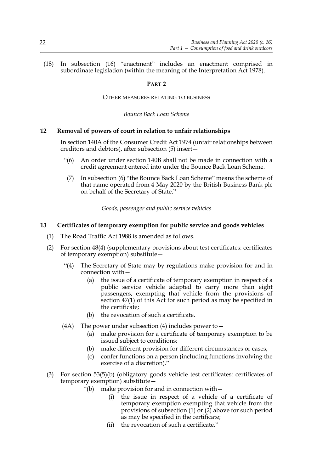(18) In subsection [\(16\)](#page-24-3) "enactment" includes an enactment comprised in subordinate legislation (within the meaning of the Interpretation Act 1978).

#### **PART 2**

OTHER MEASURES RELATING TO BUSINESS

*Bounce Back Loan Scheme*

#### <span id="page-25-3"></span>**12 Removal of powers of court in relation to unfair relationships**

<span id="page-25-0"></span>In section 140A of the Consumer Credit Act 1974 (unfair relationships between creditors and debtors), after subsection (5) insert—

- <span id="page-25-2"></span>"(6) An order under section 140B shall not be made in connection with a credit agreement entered into under the Bounce Back Loan Scheme.
- (7) In subsection [\(6\)](#page-25-2) "the Bounce Back Loan Scheme" means the scheme of that name operated from 4 May 2020 by the British Business Bank plc on behalf of the Secretary of State."

*Goods, passenger and public service vehicles*

#### <span id="page-25-4"></span><span id="page-25-1"></span>**13 Certificates of temporary exemption for public service and goods vehicles**

- (1) The Road Traffic Act 1988 is amended as follows.
- (2) For section 48(4) (supplementary provisions about test certificates: certificates of temporary exemption) substitute—
	- "(4) The Secretary of State may by regulations make provision for and in connection with—
		- (a) the issue of a certificate of temporary exemption in respect of a public service vehicle adapted to carry more than eight passengers, exempting that vehicle from the provisions of section 47(1) of this Act for such period as may be specified in the certificate;
		- (b) the revocation of such a certificate.
	- (4A) The power under subsection (4) includes power to  $-$ 
		- (a) make provision for a certificate of temporary exemption to be issued subject to conditions;
		- (b) make different provision for different circumstances or cases;
		- (c) confer functions on a person (including functions involving the exercise of a discretion)."
- (3) For section 53(5)(b) (obligatory goods vehicle test certificates: certificates of temporary exemption) substitute—
	- "(b) make provision for and in connection with—
		- (i) the issue in respect of a vehicle of a certificate of temporary exemption exempting that vehicle from the provisions of subsection (1) or (2) above for such period as may be specified in the certificate;
		- (ii) the revocation of such a certificate."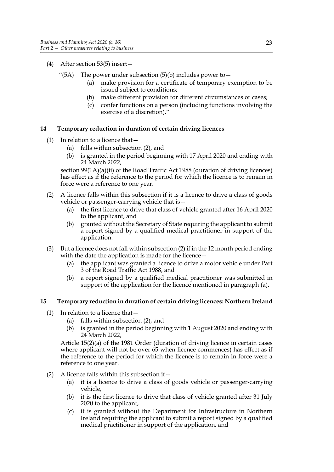- (4) After section 53(5) insert—
	- "(5A) The power under subsection  $(5)(b)$  includes power to  $$ 
		- make provision for a certificate of temporary exemption to be issued subject to conditions;
		- (b) make different provision for different circumstances or cases;
		- (c) confer functions on a person (including functions involving the exercise of a discretion)."

#### <span id="page-26-5"></span><span id="page-26-0"></span>**14 Temporary reduction in duration of certain driving licences**

- (1) In relation to a licence that  $-$ 
	- (a) falls within subsection [\(2\)](#page-26-2), and
	- (b) is granted in the period beginning with 17 April 2020 and ending with 24 March 2022,

section 99(1A)(a)(ii) of the Road Traffic Act 1988 (duration of driving licences) has effect as if the reference to the period for which the licence is to remain in force were a reference to one year.

- <span id="page-26-2"></span>(2) A licence falls within this subsection if it is a licence to drive a class of goods vehicle or passenger-carrying vehicle that is—
	- (a) the first licence to drive that class of vehicle granted after 16 April 2020 to the applicant, and
	- (b) granted without the Secretary of State requiring the applicant to submit a report signed by a qualified medical practitioner in support of the application.
- <span id="page-26-3"></span>(3) But a licence does not fall within subsection [\(2\)](#page-26-2) if in the 12 month period ending with the date the application is made for the licence —
	- (a) the applicant was granted a licence to drive a motor vehicle under Part 3 of the Road Traffic Act 1988, and
	- (b) a report signed by a qualified medical practitioner was submitted in support of the application for the licence mentioned in paragraph [\(a\)](#page-26-3).

#### <span id="page-26-6"></span><span id="page-26-1"></span>**15 Temporary reduction in duration of certain driving licences: Northern Ireland**

- $(1)$  In relation to a licence that  $-$ 
	- (a) falls within subsection [\(2\)](#page-26-4), and
	- (b) is granted in the period beginning with 1 August 2020 and ending with 24 March 2022,

Article 15(2)(a) of the 1981 Order (duration of driving licence in certain cases where applicant will not be over 65 when licence commences) has effect as if the reference to the period for which the licence is to remain in force were a reference to one year.

- <span id="page-26-4"></span>(2) A licence falls within this subsection if  $-$ 
	- (a) it is a licence to drive a class of goods vehicle or passenger-carrying vehicle,
	- (b) it is the first licence to drive that class of vehicle granted after 31 July 2020 to the applicant,
	- (c) it is granted without the Department for Infrastructure in Northern Ireland requiring the applicant to submit a report signed by a qualified medical practitioner in support of the application, and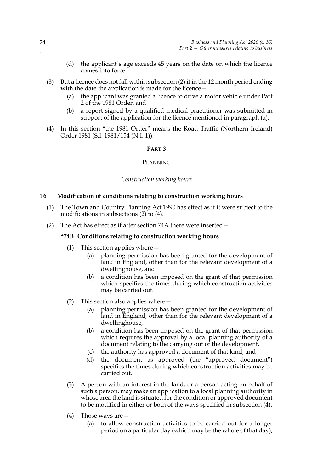- (d) the applicant's age exceeds 45 years on the date on which the licence comes into force.
- <span id="page-27-1"></span>(3) But a licence does not fall within subsection [\(2\)](#page-26-4) if in the 12 month period ending with the date the application is made for the licence -
	- (a) the applicant was granted a licence to drive a motor vehicle under Part 2 of the 1981 Order, and
	- (b) a report signed by a qualified medical practitioner was submitted in support of the application for the licence mentioned in paragraph [\(a\)](#page-27-1).
- (4) In this section "the 1981 Order" means the Road Traffic (Northern Ireland) Order 1981 (S.I. 1981/154 (N.I. 1)).

#### **PART 3**

#### PLANNING

#### *Construction working hours*

#### <span id="page-27-2"></span><span id="page-27-0"></span>**16 Modification of conditions relating to construction working hours**

- (1) The Town and Country Planning Act 1990 has effect as if it were subject to the modifications in subsections (2) to (4).
- (2) The Act has effect as if after section 74A there were inserted—

#### **"74B Conditions relating to construction working hours**

- (1) This section applies where—
	- (a) planning permission has been granted for the development of land in England, other than for the relevant development of a dwellinghouse, and
	- (b) a condition has been imposed on the grant of that permission which specifies the times during which construction activities may be carried out.
- (2) This section also applies where  $-$ 
	- (a) planning permission has been granted for the development of land in England, other than for the relevant development of a dwellinghouse,
	- (b) a condition has been imposed on the grant of that permission which requires the approval by a local planning authority of a document relating to the carrying out of the development,
	- (c) the authority has approved a document of that kind, and
	- (d) the document as approved (the "approved document") specifies the times during which construction activities may be carried out.
- (3) A person with an interest in the land, or a person acting on behalf of such a person, may make an application to a local planning authority in whose area the land is situated for the condition or approved document to be modified in either or both of the ways specified in subsection (4).
- (4) Those ways are—
	- (a) to allow construction activities to be carried out for a longer period on a particular day (which may be the whole of that day);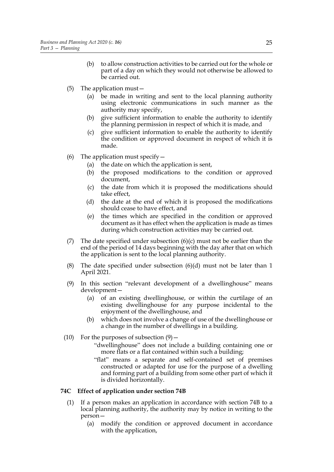- (b) to allow construction activities to be carried out for the whole or part of a day on which they would not otherwise be allowed to be carried out.
- (5) The application must—
	- (a) be made in writing and sent to the local planning authority using electronic communications in such manner as the authority may specify,
	- (b) give sufficient information to enable the authority to identify the planning permission in respect of which it is made, and
	- (c) give sufficient information to enable the authority to identify the condition or approved document in respect of which it is made.
- (6) The application must specify  $-$ 
	- (a) the date on which the application is sent,
	- (b) the proposed modifications to the condition or approved document,
	- (c) the date from which it is proposed the modifications should take effect,
	- (d) the date at the end of which it is proposed the modifications should cease to have effect, and
	- (e) the times which are specified in the condition or approved document as it has effect when the application is made as times during which construction activities may be carried out.
- (7) The date specified under subsection  $(6)(c)$  must not be earlier than the end of the period of 14 days beginning with the day after that on which the application is sent to the local planning authority.
- (8) The date specified under subsection  $(6)(d)$  must not be later than 1 April 2021.
- (9) In this section "relevant development of a dwellinghouse" means development—
	- (a) of an existing dwellinghouse, or within the curtilage of an existing dwellinghouse for any purpose incidental to the enjoyment of the dwellinghouse, and
	- (b) which does not involve a change of use of the dwellinghouse or a change in the number of dwellings in a building.
- (10) For the purposes of subsection  $(9)$ 
	- "dwellinghouse" does not include a building containing one or more flats or a flat contained within such a building;
	- "flat" means a separate and self-contained set of premises constructed or adapted for use for the purpose of a dwelling and forming part of a building from some other part of which it is divided horizontally.

#### **74C Effect of application under section 74B**

- (1) If a person makes an application in accordance with section 74B to a local planning authority, the authority may by notice in writing to the person—
	- (a) modify the condition or approved document in accordance with the application,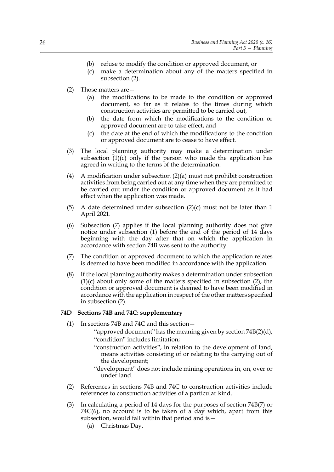- (b) refuse to modify the condition or approved document, or
- (c) make a determination about any of the matters specified in subsection (2).
- (2) Those matters are—
	- (a) the modifications to be made to the condition or approved document, so far as it relates to the times during which construction activities are permitted to be carried out,
	- (b) the date from which the modifications to the condition or approved document are to take effect, and
	- (c) the date at the end of which the modifications to the condition or approved document are to cease to have effect.
- (3) The local planning authority may make a determination under subsection  $(1)(c)$  only if the person who made the application has agreed in writing to the terms of the determination.
- (4) A modification under subsection (2)(a) must not prohibit construction activities from being carried out at any time when they are permitted to be carried out under the condition or approved document as it had effect when the application was made.
- (5) A date determined under subsection  $(2)(c)$  must not be later than 1 April 2021.
- (6) Subsection (7) applies if the local planning authority does not give notice under subsection (1) before the end of the period of 14 days beginning with the day after that on which the application in accordance with section 74B was sent to the authority.
- (7) The condition or approved document to which the application relates is deemed to have been modified in accordance with the application.
- (8) If the local planning authority makes a determination under subsection (1)(c) about only some of the matters specified in subsection (2), the condition or approved document is deemed to have been modified in accordance with the application in respect of the other matters specified in subsection (2).

#### **74D Sections 74B and 74C: supplementary**

- (1) In sections 74B and 74C and this section—
	- "approved document" has the meaning given by section 74B(2)(d); "condition" includes limitation;
	- "construction activities", in relation to the development of land, means activities consisting of or relating to the carrying out of the development;
	- "development" does not include mining operations in, on, over or under land.
- (2) References in sections 74B and 74C to construction activities include references to construction activities of a particular kind.
- (3) In calculating a period of 14 days for the purposes of section 74B(7) or 74C(6), no account is to be taken of a day which, apart from this subsection, would fall within that period and is—
	- (a) Christmas Day,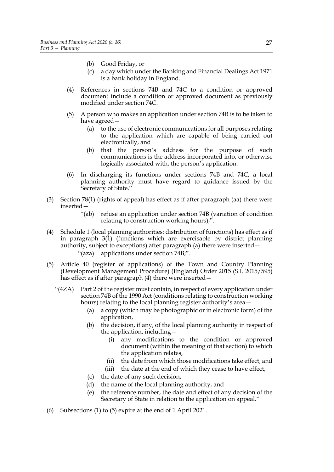- (b) Good Friday, or
- (c) a day which under the Banking and Financial Dealings Act 1971 is a bank holiday in England.
- (4) References in sections 74B and 74C to a condition or approved document include a condition or approved document as previously modified under section 74C.
- (5) A person who makes an application under section 74B is to be taken to have agreed—
	- (a) to the use of electronic communications for all purposes relating to the application which are capable of being carried out electronically, and
	- (b) that the person's address for the purpose of such communications is the address incorporated into, or otherwise logically associated with, the person's application.
- (6) In discharging its functions under sections 74B and 74C, a local planning authority must have regard to guidance issued by the Secretary of State."
- (3) Section 78(1) (rights of appeal) has effect as if after paragraph (aa) there were inserted—
	- "(ab) refuse an application under section 74B (variation of condition relating to construction working hours);".
- (4) Schedule 1 (local planning authorities: distribution of functions) has effect as if in paragraph 3(1) (functions which are exercisable by district planning authority, subject to exceptions) after paragraph (a) there were inserted— "(aza) applications under section 74B;".
- (5) Article 40 (register of applications) of the Town and Country Planning (Development Management Procedure) (England) Order 2015 (S.I. 2015/595) has effect as if after paragraph (4) there were inserted –
	- "(4ZA) Part 2 of the register must contain, in respect of every application under section 74B of the 1990 Act (conditions relating to construction working hours) relating to the local planning register authority's area—
		- (a) a copy (which may be photographic or in electronic form) of the application,
		- (b) the decision, if any, of the local planning authority in respect of the application, including—
			- (i) any modifications to the condition or approved document (within the meaning of that section) to which the application relates,
			- (ii) the date from which those modifications take effect, and
			- (iii) the date at the end of which they cease to have effect,
		- (c) the date of any such decision,
		- (d) the name of the local planning authority, and
		- (e) the reference number, the date and effect of any decision of the Secretary of State in relation to the application on appeal."
- (6) Subsections (1) to (5) expire at the end of 1 April 2021.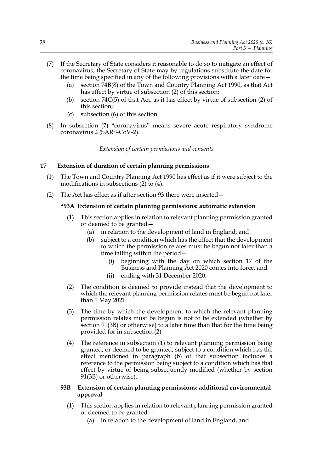- <span id="page-31-2"></span>(7) If the Secretary of State considers it reasonable to do so to mitigate an effect of coronavirus, the Secretary of State may by regulations substitute the date for the time being specified in any of the following provisions with a later date—
	- (a) section 74B(8) of the Town and Country Planning Act 1990, as that Act has effect by virtue of subsection (2) of this section;
	- (b) section 74C(5) of that Act, as it has effect by virtue of subsection (2) of this section;
	- (c) subsection (6) of this section.
- (8) In subsection [\(7\)](#page-31-2) "coronavirus" means severe acute respiratory syndrome coronavirus 2 (SARS-CoV-2).

*Extension of certain permissions and consents*

#### <span id="page-31-1"></span><span id="page-31-0"></span>**17 Extension of duration of certain planning permissions**

- <span id="page-31-8"></span>(1) The Town and Country Planning Act 1990 has effect as if it were subject to the modifications in subsections [\(2\)](#page-31-3) to [\(4\)](#page-34-0).
- <span id="page-31-5"></span><span id="page-31-3"></span>(2) The Act has effect as if after section 93 there were inserted—

#### **"93A Extension of certain planning permissions: automatic extension**

- <span id="page-31-6"></span>(1) This section applies in relation to relevant planning permission granted or deemed to be granted—
	- (a) in relation to the development of land in England, and
	- (b) subject to a condition which has the effect that the development to which the permission relates must be begun not later than a time falling within the period—
		- beginning with the day on which section [17](#page-31-1) of the Business and Planning Act 2020 comes into force, and
		- (ii) ending with 31 December 2020.
- <span id="page-31-9"></span><span id="page-31-4"></span>(2) The condition is deemed to provide instead that the development to which the relevant planning permission relates must be begun not later than 1 May 2021.
- (3) The time by which the development to which the relevant planning permission relates must be begun is not to be extended (whether by section 91(3B) or otherwise) to a later time than that for the time being provided for in subsection [\(2\).](#page-31-4)
- (4) The reference in subsection [\(1\)](#page-31-5) to relevant planning permission being granted, or deemed to be granted, subject to a condition which has the effect mentioned in paragraph [\(b\)](#page-31-6) of that subsection includes a reference to the permission being subject to a condition which has that effect by virtue of being subsequently modified (whether by section 91(3B) or otherwise).

#### <span id="page-31-7"></span>**93B Extension of certain planning permissions: additional environmental approval**

- (1) This section applies in relation to relevant planning permission granted or deemed to be granted—
	- (a) in relation to the development of land in England, and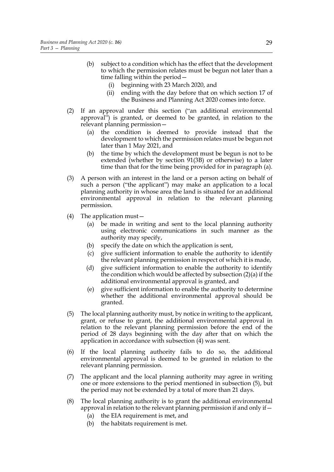- <span id="page-32-3"></span>(b) subject to a condition which has the effect that the development to which the permission relates must be begun not later than a time falling within the period—
	- (i) beginning with 23 March 2020, and
	- (ii) ending with the day before that on which section [17](#page-31-1) of the Business and Planning Act 2020 comes into force.
- <span id="page-32-0"></span>(2) If an approval under this section ("an additional environmental approval") is granted, or deemed to be granted, in relation to the relevant planning permission—
	- (a) the condition is deemed to provide instead that the development to which the permission relates must be begun not later than 1 May 2021, and
	- (b) the time by which the development must be begun is not to be extended (whether by section 91(3B) or otherwise) to a later time than that for the time being provided for in paragraph [\(a\)](#page-32-0).
- (3) A person with an interest in the land or a person acting on behalf of such a person ("the applicant") may make an application to a local planning authority in whose area the land is situated for an additional environmental approval in relation to the relevant planning permission.
- <span id="page-32-1"></span>(4) The application must—
	- (a) be made in writing and sent to the local planning authority using electronic communications in such manner as the authority may specify,
	- (b) specify the date on which the application is sent,
	- (c) give sufficient information to enable the authority to identify the relevant planning permission in respect of which it is made,
	- (d) give sufficient information to enable the authority to identify the condition which would be affected by subsection [\(2\)\(a\)](#page-32-0) if the additional environmental approval is granted, and
	- (e) give sufficient information to enable the authority to determine whether the additional environmental approval should be granted.
- <span id="page-32-2"></span>(5) The local planning authority must, by notice in writing to the applicant, grant, or refuse to grant, the additional environmental approval in relation to the relevant planning permission before the end of the period of 28 days beginning with the day after that on which the application in accordance with subsection [\(4\)](#page-32-1) was sent.
- (6) If the local planning authority fails to do so, the additional environmental approval is deemed to be granted in relation to the relevant planning permission.
- (7) The applicant and the local planning authority may agree in writing one or more extensions to the period mentioned in subsection [\(5\),](#page-32-2) but the period may not be extended by a total of more than 21 days.
- (8) The local planning authority is to grant the additional environmental approval in relation to the relevant planning permission if and only if  $-$ 
	- (a) the EIA requirement is met, and
	- (b) the habitats requirement is met.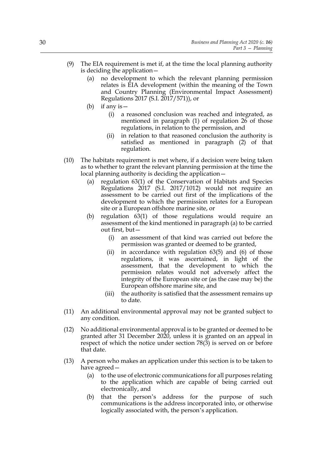- (9) The EIA requirement is met if, at the time the local planning authority is deciding the application—
	- (a) no development to which the relevant planning permission relates is EIA development (within the meaning of the Town and Country Planning (Environmental Impact Assessment) Regulations 2017 (S.I. 2017/571)), or
	- (b) if any is—
		- (i) a reasoned conclusion was reached and integrated, as mentioned in paragraph (1) of regulation 26 of those regulations, in relation to the permission, and
		- (ii) in relation to that reasoned conclusion the authority is satisfied as mentioned in paragraph (2) of that regulation.
- <span id="page-33-0"></span>(10) The habitats requirement is met where, if a decision were being taken as to whether to grant the relevant planning permission at the time the local planning authority is deciding the application—
	- (a) regulation 63(1) of the Conservation of Habitats and Species Regulations 2017 (S.I. 2017/1012) would not require an assessment to be carried out first of the implications of the development to which the permission relates for a European site or a European offshore marine site, or
	- (b) regulation 63(1) of those regulations would require an assessment of the kind mentioned in paragraph [\(a\)](#page-33-0) to be carried out first, but—
		- (i) an assessment of that kind was carried out before the permission was granted or deemed to be granted,
		- (ii) in accordance with regulation  $63(5)$  and  $(6)$  of those regulations, it was ascertained, in light of the assessment, that the development to which the permission relates would not adversely affect the integrity of the European site or (as the case may be) the European offshore marine site, and
		- (iii) the authority is satisfied that the assessment remains up to date.
- (11) An additional environmental approval may not be granted subject to any condition.
- <span id="page-33-1"></span>(12) No additional environmental approval is to be granted or deemed to be granted after 31 December 2020, unless it is granted on an appeal in respect of which the notice under section 78(3) is served on or before that date.
- (13) A person who makes an application under this section is to be taken to have agreed—
	- (a) to the use of electronic communications for all purposes relating to the application which are capable of being carried out electronically, and
	- (b) that the person's address for the purpose of such communications is the address incorporated into, or otherwise logically associated with, the person's application.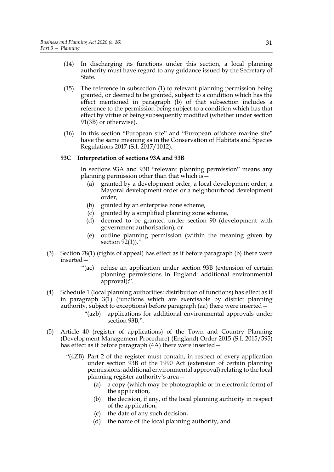- (14) In discharging its functions under this section, a local planning authority must have regard to any guidance issued by the Secretary of State.
- (15) The reference in subsection [\(1\)](#page-31-7) to relevant planning permission being granted, or deemed to be granted, subject to a condition which has the effect mentioned in paragraph [\(b\)](#page-32-3) of that subsection includes a reference to the permission being subject to a condition which has that effect by virtue of being subsequently modified (whether under section 91(3B) or otherwise).
- (16) In this section "European site" and "European offshore marine site" have the same meaning as in the Conservation of Habitats and Species Regulations 2017 (S.I. 2017/1012).

#### **93C Interpretation of sections 93A and 93B**

In sections 93A and 93B "relevant planning permission" means any planning permission other than that which is—

- (a) granted by a development order, a local development order, a Mayoral development order or a neighbourhood development order,
- (b) granted by an enterprise zone scheme,
- (c) granted by a simplified planning zone scheme,
- (d) deemed to be granted under section 90 (development with government authorisation), or
- (e) outline planning permission (within the meaning given by section 92(1))."
- (3) Section 78(1) (rights of appeal) has effect as if before paragraph (b) there were inserted—
	- "(ac) refuse an application under section 93B (extension of certain planning permissions in England: additional environmental approval);".
- <span id="page-34-0"></span>(4) Schedule 1 (local planning authorities: distribution of functions) has effect as if in paragraph 3(1) (functions which are exercisable by district planning authority, subject to exceptions) before paragraph (aa) there were inserted—
	- "(azb) applications for additional environmental approvals under section 93B;".
- <span id="page-34-1"></span>(5) Article 40 (register of applications) of the Town and Country Planning (Development Management Procedure) (England) Order 2015 (S.I. 2015/595) has effect as if before paragraph (4A) there were inserted –
	- "(4ZB) Part 2 of the register must contain, in respect of every application under section 93B of the 1990 Act (extension of certain planning permissions: additional environmental approval) relating to the local planning register authority's area—
		- (a) a copy (which may be photographic or in electronic form) of the application,
		- (b) the decision, if any, of the local planning authority in respect of the application,
		- (c) the date of any such decision,
		- (d) the name of the local planning authority, and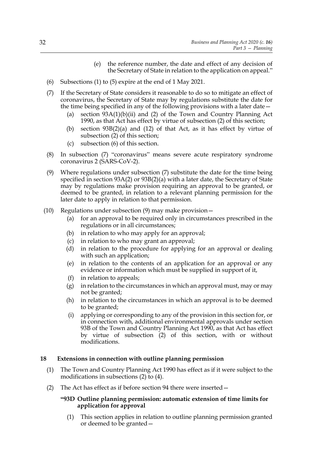- (e) the reference number, the date and effect of any decision of the Secretary of State in relation to the application on appeal."
- <span id="page-35-1"></span>(6) Subsections [\(1\)](#page-31-8) to [\(5\)](#page-34-1) expire at the end of 1 May 2021.
- <span id="page-35-2"></span>(7) If the Secretary of State considers it reasonable to do so to mitigate an effect of coronavirus, the Secretary of State may by regulations substitute the date for the time being specified in any of the following provisions with a later date—
	- (a) section  $93A(1)(b)(ii)$  and [\(2\)](#page-31-4) of the Town and Country Planning Act 1990, as that Act has effect by virtue of subsection [\(2\)](#page-31-3) of this section;
	- (b) section 93B[\(2\)\(a\)](#page-32-0) and [\(12\)](#page-33-1) of that Act, as it has effect by virtue of subsection [\(2\)](#page-31-3) of this section;
	- (c) subsection [\(6\)](#page-35-1) of this section.
- (8) In subsection [\(7\)](#page-35-2) "coronavirus" means severe acute respiratory syndrome coronavirus 2 (SARS-CoV-2).
- <span id="page-35-3"></span>(9) Where regulations under subsection [\(7\)](#page-35-2) substitute the date for the time being specified in section 93[A\(2\)](#page-31-4) or 93B[\(2\)\(a\)](#page-32-0) with a later date, the Secretary of State may by regulations make provision requiring an approval to be granted, or deemed to be granted, in relation to a relevant planning permission for the later date to apply in relation to that permission.
- (10) Regulations under subsection [\(9\)](#page-35-3) may make provision—
	- (a) for an approval to be required only in circumstances prescribed in the regulations or in all circumstances;
	- (b) in relation to who may apply for an approval;
	- (c) in relation to who may grant an approval;
	- (d) in relation to the procedure for applying for an approval or dealing with such an application;
	- (e) in relation to the contents of an application for an approval or any evidence or information which must be supplied in support of it,
	- (f) in relation to appeals;
	- (g) in relation to the circumstances in which an approval must, may or may not be granted;
	- (h) in relation to the circumstances in which an approval is to be deemed to be granted;
	- (i) applying or corresponding to any of the provision in this section for, or in connection with, additional environmental approvals under section 93B of the Town and Country Planning Act 1990, as that Act has effect by virtue of subsection [\(2\)](#page-31-3) of this section, with or without modifications.

#### <span id="page-35-5"></span><span id="page-35-0"></span>**18 Extensions in connection with outline planning permission**

- <span id="page-35-7"></span>(1) The Town and Country Planning Act 1990 has effect as if it were subject to the modifications in subsections [\(2\)](#page-35-4) to [\(4\)](#page-39-0).
- <span id="page-35-4"></span>(2) The Act has effect as if before section 94 there were inserted—

#### <span id="page-35-6"></span>**"93D Outline planning permission: automatic extension of time limits for application for approval**

(1) This section applies in relation to outline planning permission granted or deemed to be granted—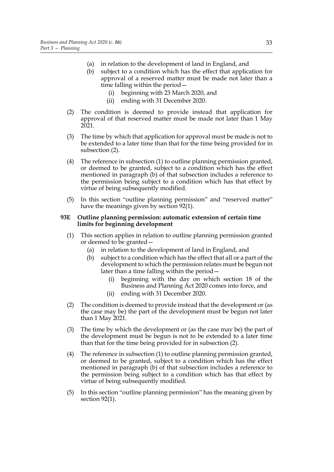- (a) in relation to the development of land in England, and
- <span id="page-36-1"></span>(b) subject to a condition which has the effect that application for approval of a reserved matter must be made not later than a time falling within the period—
	- (i) beginning with 23 March 2020, and
	- (ii) ending with 31 December 2020.
- <span id="page-36-5"></span><span id="page-36-0"></span>(2) The condition is deemed to provide instead that application for approval of that reserved matter must be made not later than 1 May 2021.
- (3) The time by which that application for approval must be made is not to be extended to a later time than that for the time being provided for in subsection [\(2\).](#page-36-0)
- (4) The reference in subsection [\(1\)](#page-35-6) to outline planning permission granted, or deemed to be granted, subject to a condition which has the effect mentioned in paragraph [\(b\)](#page-36-1) of that subsection includes a reference to the permission being subject to a condition which has that effect by virtue of being subsequently modified.
- (5) In this section "outline planning permission" and "reserved matter" have the meanings given by section 92(1).

#### <span id="page-36-3"></span>**93E Outline planning permission: automatic extension of certain time limits for beginning development**

- <span id="page-36-4"></span>(1) This section applies in relation to outline planning permission granted or deemed to be granted—
	- (a) in relation to the development of land in England, and
	- (b) subject to a condition which has the effect that all or a part of the development to which the permission relates must be begun not later than a time falling within the period—
		- (i) beginning with the day on which section [18](#page-35-5) of the Business and Planning Act 2020 comes into force, and
		- (ii) ending with 31 December 2020.
- <span id="page-36-6"></span><span id="page-36-2"></span>(2) The condition is deemed to provide instead that the development or (as the case may be) the part of the development must be begun not later than 1 May 2021.
- (3) The time by which the development or (as the case may be) the part of the development must be begun is not to be extended to a later time than that for the time being provided for in subsection [\(2\)](#page-36-2).
- (4) The reference in subsection [\(1\)](#page-36-3) to outline planning permission granted, or deemed to be granted, subject to a condition which has the effect mentioned in paragraph [\(b\)](#page-36-4) of that subsection includes a reference to the permission being subject to a condition which has that effect by virtue of being subsequently modified.
- (5) In this section "outline planning permission" has the meaning given by section 92(1).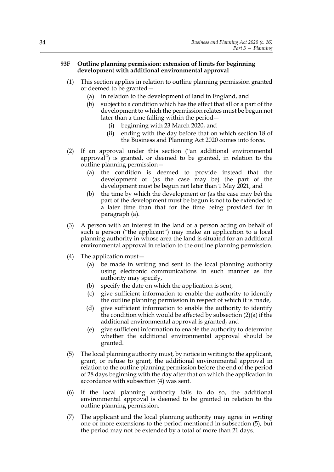#### <span id="page-37-3"></span>**93F Outline planning permission: extension of limits for beginning development with additional environmental approval**

- <span id="page-37-4"></span>(1) This section applies in relation to outline planning permission granted or deemed to be granted—
	- (a) in relation to the development of land in England, and
	- (b) subject to a condition which has the effect that all or a part of the development to which the permission relates must be begun not later than a time falling within the period—
		- (i) beginning with 23 March 2020, and
		- (ii) ending with the day before that on which section [18](#page-35-5) of the Business and Planning Act 2020 comes into force.
- <span id="page-37-0"></span>(2) If an approval under this section ("an additional environmental approval") is granted, or deemed to be granted, in relation to the outline planning permission—
	- (a) the condition is deemed to provide instead that the development or (as the case may be) the part of the development must be begun not later than 1 May 2021, and
	- (b) the time by which the development or (as the case may be) the part of the development must be begun is not to be extended to a later time than that for the time being provided for in paragraph [\(a\)](#page-37-0).
- (3) A person with an interest in the land or a person acting on behalf of such a person ("the applicant") may make an application to a local planning authority in whose area the land is situated for an additional environmental approval in relation to the outline planning permission.
- <span id="page-37-1"></span>(4) The application must—
	- (a) be made in writing and sent to the local planning authority using electronic communications in such manner as the authority may specify,
	- (b) specify the date on which the application is sent,
	- (c) give sufficient information to enable the authority to identify the outline planning permission in respect of which it is made,
	- (d) give sufficient information to enable the authority to identify the condition which would be affected by subsection [\(2\)\(a\)](#page-37-0) if the additional environmental approval is granted, and
	- (e) give sufficient information to enable the authority to determine whether the additional environmental approval should be granted.
- <span id="page-37-2"></span>(5) The local planning authority must, by notice in writing to the applicant, grant, or refuse to grant, the additional environmental approval in relation to the outline planning permission before the end of the period of 28 days beginning with the day after that on which the application in accordance with subsection [\(4\)](#page-37-1) was sent.
- (6) If the local planning authority fails to do so, the additional environmental approval is deemed to be granted in relation to the outline planning permission.
- (7) The applicant and the local planning authority may agree in writing one or more extensions to the period mentioned in subsection [\(5\),](#page-37-2) but the period may not be extended by a total of more than 21 days.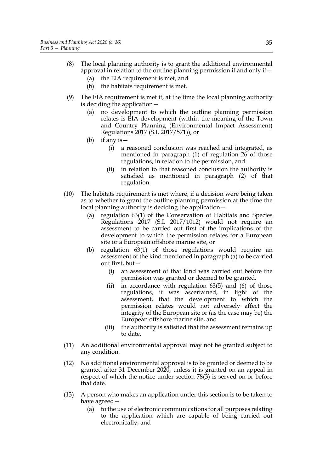- (8) The local planning authority is to grant the additional environmental approval in relation to the outline planning permission if and only if—
	- (a) the EIA requirement is met, and
	- (b) the habitats requirement is met.
- (9) The EIA requirement is met if, at the time the local planning authority is deciding the application—
	- (a) no development to which the outline planning permission relates is EIA development (within the meaning of the Town and Country Planning (Environmental Impact Assessment) Regulations 2017 (S.I. 2017/571)), or
	- (b) if any is—
		- (i) a reasoned conclusion was reached and integrated, as mentioned in paragraph (1) of regulation 26 of those regulations, in relation to the permission, and
		- (ii) in relation to that reasoned conclusion the authority is satisfied as mentioned in paragraph (2) of that regulation.
- <span id="page-38-0"></span>(10) The habitats requirement is met where, if a decision were being taken as to whether to grant the outline planning permission at the time the local planning authority is deciding the application—
	- (a) regulation 63(1) of the Conservation of Habitats and Species Regulations 2017 (S.I. 2017/1012) would not require an assessment to be carried out first of the implications of the development to which the permission relates for a European site or a European offshore marine site, or
	- (b) regulation 63(1) of those regulations would require an assessment of the kind mentioned in paragraph [\(a\)](#page-38-0) to be carried out first, but—
		- (i) an assessment of that kind was carried out before the permission was granted or deemed to be granted,
		- (ii) in accordance with regulation  $63(5)$  and  $(6)$  of those regulations, it was ascertained, in light of the assessment, that the development to which the permission relates would not adversely affect the integrity of the European site or (as the case may be) the European offshore marine site, and
		- (iii) the authority is satisfied that the assessment remains up to date.
- (11) An additional environmental approval may not be granted subject to any condition.
- <span id="page-38-1"></span>(12) No additional environmental approval is to be granted or deemed to be granted after 31 December 2020, unless it is granted on an appeal in respect of which the notice under section 78(3) is served on or before that date.
- (13) A person who makes an application under this section is to be taken to have agreed—
	- (a) to the use of electronic communications for all purposes relating to the application which are capable of being carried out electronically, and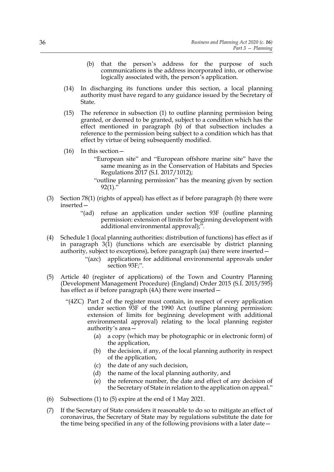- (b) that the person's address for the purpose of such communications is the address incorporated into, or otherwise logically associated with, the person's application.
- (14) In discharging its functions under this section, a local planning authority must have regard to any guidance issued by the Secretary of State.
- (15) The reference in subsection [\(1\)](#page-37-3) to outline planning permission being granted, or deemed to be granted, subject to a condition which has the effect mentioned in paragraph [\(b\)](#page-37-4) of that subsection includes a reference to the permission being subject to a condition which has that effect by virtue of being subsequently modified.
- (16) In this section—
	- "European site" and "European offshore marine site" have the same meaning as in the Conservation of Habitats and Species Regulations 2017 (S.I. 2017/1012);
	- "outline planning permission" has the meaning given by section  $92(1)$ ."
- (3) Section 78(1) (rights of appeal) has effect as if before paragraph (b) there were inserted—
	- "(ad) refuse an application under section 93F (outline planning permission: extension of limits for beginning development with additional environmental approval);".
- <span id="page-39-0"></span>(4) Schedule 1 (local planning authorities: distribution of functions) has effect as if in paragraph 3(1) (functions which are exercisable by district planning authority, subject to exceptions), before paragraph (aa) there were inserted—
	- "(azc) applications for additional environmental approvals under section 93F;".
- <span id="page-39-1"></span>(5) Article 40 (register of applications) of the Town and Country Planning (Development Management Procedure) (England) Order 2015 (S.I. 2015/595) has effect as if before paragraph (4A) there were inserted—
	- "(4ZC) Part 2 of the register must contain, in respect of every application under section 93F of the 1990 Act (outline planning permission: extension of limits for beginning development with additional environmental approval) relating to the local planning register authority's area—
		- (a) a copy (which may be photographic or in electronic form) of the application,
		- (b) the decision, if any, of the local planning authority in respect of the application,
		- (c) the date of any such decision,
		- (d) the name of the local planning authority, and
		- (e) the reference number, the date and effect of any decision of the Secretary of State in relation to the application on appeal."
- <span id="page-39-2"></span>(6) Subsections [\(1\)](#page-35-7) to [\(5\)](#page-39-1) expire at the end of 1 May 2021.
- <span id="page-39-3"></span>(7) If the Secretary of State considers it reasonable to do so to mitigate an effect of coronavirus, the Secretary of State may by regulations substitute the date for the time being specified in any of the following provisions with a later date—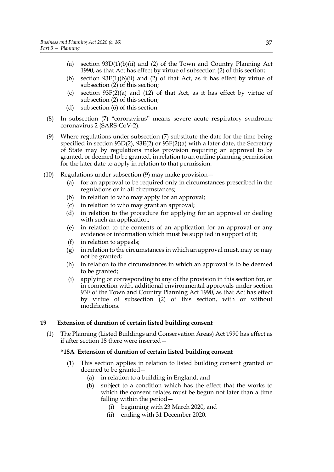- (a) section  $93D(1)(b)(ii)$  and [\(2\)](#page-36-0) of the Town and Country Planning Act 1990, as that Act has effect by virtue of subsection [\(2\)](#page-35-4) of this section;
- (b) section  $93E(1)(b)(ii)$  $93E(1)(b)(ii)$  and [\(2\)](#page-36-2) of that Act, as it has effect by virtue of subsection [\(2\)](#page-35-4) of this section;
- (c) section 93[F\(2\)\(a\)](#page-37-0) and [\(12\)](#page-38-1) of that Act, as it has effect by virtue of subsection [\(2\)](#page-35-4) of this section;
- (d) subsection [\(6\)](#page-39-2) of this section.
- (8) In subsection [\(7\)](#page-39-3) "coronavirus" means severe acute respiratory syndrome coronavirus 2 (SARS-CoV-2).
- <span id="page-40-1"></span>(9) Where regulations under subsection [\(7\)](#page-39-3) substitute the date for the time being specified in section 93[D\(2\),](#page-36-0) 93E[\(2\)](#page-36-2) or 93[F\(2\)\(a\)](#page-37-0) with a later date, the Secretary of State may by regulations make provision requiring an approval to be granted, or deemed to be granted, in relation to an outline planning permission for the later date to apply in relation to that permission.
- (10) Regulations under subsection [\(9\)](#page-40-1) may make provision—
	- (a) for an approval to be required only in circumstances prescribed in the regulations or in all circumstances;
	- (b) in relation to who may apply for an approval;
	- (c) in relation to who may grant an approval;
	- (d) in relation to the procedure for applying for an approval or dealing with such an application;
	- (e) in relation to the contents of an application for an approval or any evidence or information which must be supplied in support of it;
	- (f) in relation to appeals;
	- (g) in relation to the circumstances in which an approval must, may or may not be granted;
	- (h) in relation to the circumstances in which an approval is to be deemed to be granted;
	- (i) applying or corresponding to any of the provision in this section for, or in connection with, additional environmental approvals under section 93F of the Town and Country Planning Act 1990, as that Act has effect by virtue of subsection [\(2\)](#page-35-4) of this section, with or without modifications.

#### <span id="page-40-6"></span><span id="page-40-0"></span>**19 Extension of duration of certain listed building consent**

<span id="page-40-4"></span>(1) The Planning (Listed Buildings and Conservation Areas) Act 1990 has effect as if after section 18 there were inserted—

#### <span id="page-40-2"></span>**"18A Extension of duration of certain listed building consent**

- <span id="page-40-5"></span><span id="page-40-3"></span>(1) This section applies in relation to listed building consent granted or deemed to be granted—
	- (a) in relation to a building in England, and
	- (b) subject to a condition which has the effect that the works to which the consent relates must be begun not later than a time falling within the period—
		- (i) beginning with 23 March 2020, and
		- (ii) ending with 31 December 2020.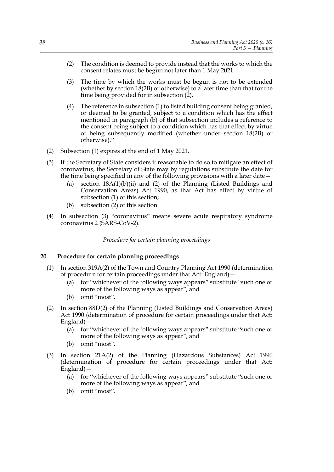- <span id="page-41-1"></span>(2) The condition is deemed to provide instead that the works to which the consent relates must be begun not later than 1 May 2021.
- (3) The time by which the works must be begun is not to be extended (whether by section 18(2B) or otherwise) to a later time than that for the time being provided for in subsection [\(2\).](#page-41-1)
- (4) The reference in subsection [\(1\)](#page-40-2) to listed building consent being granted, or deemed to be granted, subject to a condition which has the effect mentioned in paragraph [\(b\)](#page-40-3) of that subsection includes a reference to the consent being subject to a condition which has that effect by virtue of being subsequently modified (whether under section 18(2B) or otherwise)."
- <span id="page-41-2"></span>(2) Subsection [\(1\)](#page-40-4) expires at the end of 1 May 2021.
- <span id="page-41-3"></span>(3) If the Secretary of State considers it reasonable to do so to mitigate an effect of coronavirus, the Secretary of State may by regulations substitute the date for the time being specified in any of the following provisions with a later date—
	- (a) section  $18A(1)(b)(ii)$  and [\(2\)](#page-41-1) of the Planning (Listed Buildings and Conservation Areas) Act 1990, as that Act has effect by virtue of subsection [\(1\)](#page-40-4) of this section;
	- (b) subsection [\(2\)](#page-41-2) of this section.
- (4) In subsection [\(3\)](#page-41-3) "coronavirus" means severe acute respiratory syndrome coronavirus 2 (SARS-CoV-2).

*Procedure for certain planning proceedings*

#### <span id="page-41-4"></span><span id="page-41-0"></span>**20 Procedure for certain planning proceedings**

- (1) In section 319A(2) of the Town and Country Planning Act 1990 (determination of procedure for certain proceedings under that Act: England)—
	- (a) for "whichever of the following ways appears" substitute "such one or more of the following ways as appear", and
	- (b) omit "most".
- (2) In section 88D(2) of the Planning (Listed Buildings and Conservation Areas) Act 1990 (determination of procedure for certain proceedings under that Act: England)—
	- (a) for "whichever of the following ways appears" substitute "such one or more of the following ways as appear", and
	- (b) omit "most".
- (3) In section 21A(2) of the Planning (Hazardous Substances) Act 1990 (determination of procedure for certain proceedings under that Act: England)—
	- (a) for "whichever of the following ways appears" substitute "such one or more of the following ways as appear", and
	- (b) omit "most".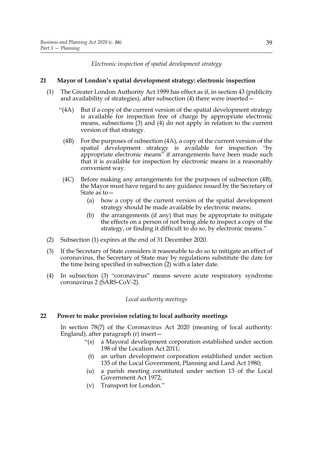*Electronic inspection of spatial development strategy*

#### <span id="page-42-6"></span><span id="page-42-0"></span>**21 Mayor of London's spatial development strategy: electronic inspection**

- <span id="page-42-3"></span><span id="page-42-2"></span>(1) The Greater London Authority Act 1999 has effect as if, in section 43 (publicity and availability of strategies), after subsection (4) there were inserted—
	- " $(4A)$  But if a copy of the current version of the spatial development strategy is available for inspection free of charge by appropriate electronic means, subsections (3) and (4) do not apply in relation to the current version of that strategy.
		- (4B) For the purposes of subsection (4A), a copy of the current version of the spatial development strategy is available for inspection "by appropriate electronic means" if arrangements have been made such that it is available for inspection by electronic means in a reasonably convenient way.
	- (4C) Before making any arrangements for the purposes of subsection [\(4B\)](#page-42-2), the Mayor must have regard to any guidance issued by the Secretary of State as to—
		- (a) how a copy of the current version of the spatial development strategy should be made available by electronic means;
		- (b) the arrangements (if any) that may be appropriate to mitigate the effects on a person of not being able to inspect a copy of the strategy, or finding it difficult to do so, by electronic means."
- <span id="page-42-4"></span>(2) Subsection [\(1\)](#page-42-3) expires at the end of 31 December 2020.
- <span id="page-42-5"></span>(3) If the Secretary of State considers it reasonable to do so to mitigate an effect of coronavirus, the Secretary of State may by regulations substitute the date for the time being specified in subsection [\(2\)](#page-42-4) with a later date.
- (4) In subsection [\(3\)](#page-42-5) "coronavirus" means severe acute respiratory syndrome coronavirus 2 (SARS-CoV-2).

#### *Local authority meetings*

#### <span id="page-42-7"></span>**22 Power to make provision relating to local authority meetings**

<span id="page-42-1"></span>In section 78(7) of the Coronavirus Act 2020 (meaning of local authority: England), after paragraph (r) insert—

- "(s) a Mayoral development corporation established under section 198 of the Localism Act 2011;
- (t) an urban development corporation established under section 135 of the Local Government, Planning and Land Act 1980;
- (u) a parish meeting constituted under section 13 of the Local Government Act 1972;
- (v) Transport for London."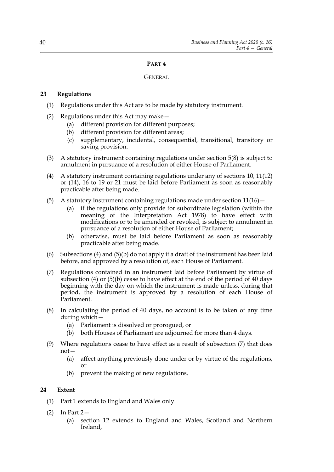#### **PART 4**

#### **GENERAL**

#### <span id="page-43-0"></span>**23 Regulations**

- (1) Regulations under this Act are to be made by statutory instrument.
- (2) Regulations under this Act may make—
	- (a) different provision for different purposes;
	- (b) different provision for different areas;
	- (c) supplementary, incidental, consequential, transitional, transitory or saving provision.
- (3) A statutory instrument containing regulations under section [5](#page-8-2)(8) is subject to annulment in pursuance of a resolution of either House of Parliament.
- <span id="page-43-2"></span>(4) A statutory instrument containing regulations under any of sections [10](#page-11-1), [11\(](#page-12-12)12) or (14), [16](#page-27-2) to [19](#page-40-6) or [21](#page-42-6) must be laid before Parliament as soon as reasonably practicable after being made.
- (5) A statutory instrument containing regulations made under section  $11(16)$  -
	- (a) if the regulations only provide for subordinate legislation (within the meaning of the Interpretation Act 1978) to have effect with modifications or to be amended or revoked, is subject to annulment in pursuance of a resolution of either House of Parliament;
	- (b) otherwise, must be laid before Parliament as soon as reasonably practicable after being made.
- <span id="page-43-3"></span>(6) Subsections [\(4\)](#page-43-2) and [\(5\)\(b\)](#page-43-3) do not apply if a draft of the instrument has been laid before, and approved by a resolution of, each House of Parliament.
- <span id="page-43-4"></span>(7) Regulations contained in an instrument laid before Parliament by virtue of subsection [\(4\)](#page-43-2) or [\(5\)\(b\)](#page-43-3) cease to have effect at the end of the period of 40 days beginning with the day on which the instrument is made unless, during that period, the instrument is approved by a resolution of each House of Parliament.
- (8) In calculating the period of 40 days, no account is to be taken of any time during which—
	- (a) Parliament is dissolved or prorogued, or
	- (b) both Houses of Parliament are adjourned for more than 4 days.
- (9) Where regulations cease to have effect as a result of subsection [\(7\)](#page-43-4) that does not—
	- (a) affect anything previously done under or by virtue of the regulations, or
	- (b) prevent the making of new regulations.

#### <span id="page-43-1"></span>**24 Extent**

- (1) Part 1 extends to England and Wales only.
- $(2)$  In Part 2-
	- (a) section [12](#page-25-3) extends to England and Wales, Scotland and Northern Ireland,